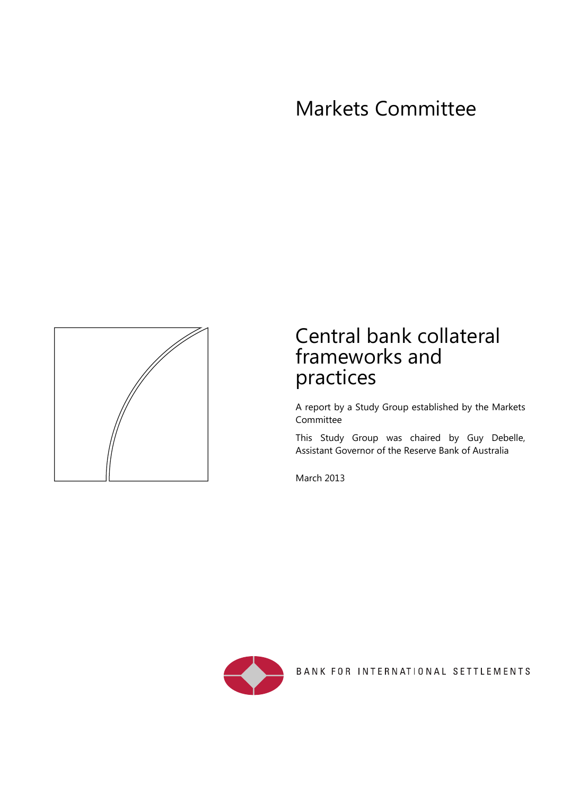# Markets Committee



# Central bank collateral frameworks and practices

A report by a Study Group established by the Markets **Committee** 

This Study Group was chaired by Guy Debelle, Assistant Governor of the Reserve Bank of Australia

March 2013



BANK FOR INTERNATIONAL SETTLEMENTS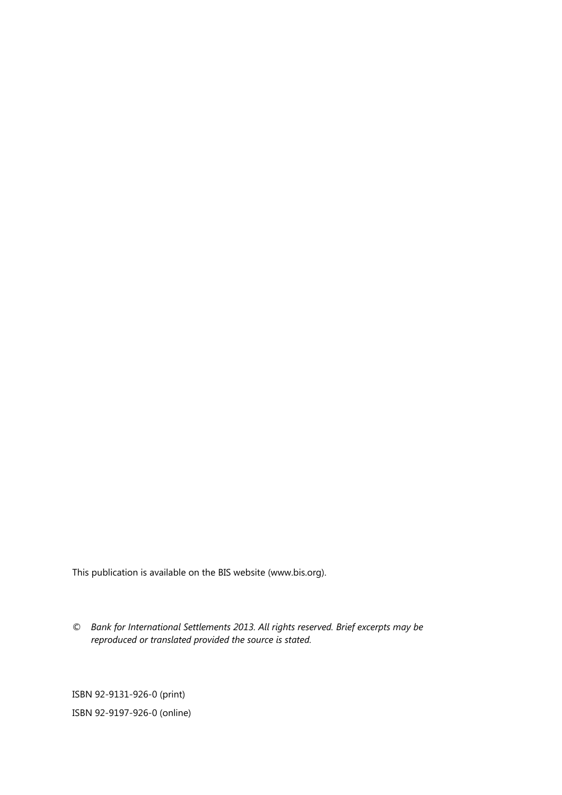This publication is available on the BIS website (www.bis.org).

*© Bank for International Settlements 2013. All rights reserved. Brief excerpts may be reproduced or translated provided the source is stated.* 

ISBN 92-9131-926-0 (print) ISBN 92-9197-926-0 (online)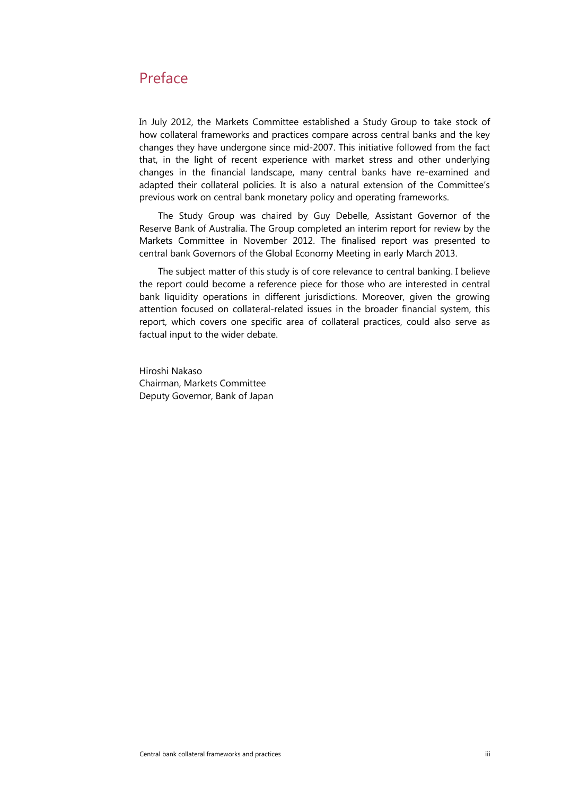# <span id="page-2-0"></span>Preface

In July 2012, the Markets Committee established a Study Group to take stock of how collateral frameworks and practices compare across central banks and the key changes they have undergone since mid-2007. This initiative followed from the fact that, in the light of recent experience with market stress and other underlying changes in the financial landscape, many central banks have re-examined and adapted their collateral policies. It is also a natural extension of the Committee's previous work on central bank monetary policy and operating frameworks.

The Study Group was chaired by Guy Debelle, Assistant Governor of the Reserve Bank of Australia. The Group completed an interim report for review by the Markets Committee in November 2012. The finalised report was presented to central bank Governors of the Global Economy Meeting in early March 2013.

The subject matter of this study is of core relevance to central banking. I believe the report could become a reference piece for those who are interested in central bank liquidity operations in different jurisdictions. Moreover, given the growing attention focused on collateral-related issues in the broader financial system, this report, which covers one specific area of collateral practices, could also serve as factual input to the wider debate.

Hiroshi Nakaso Chairman, Markets Committee Deputy Governor, Bank of Japan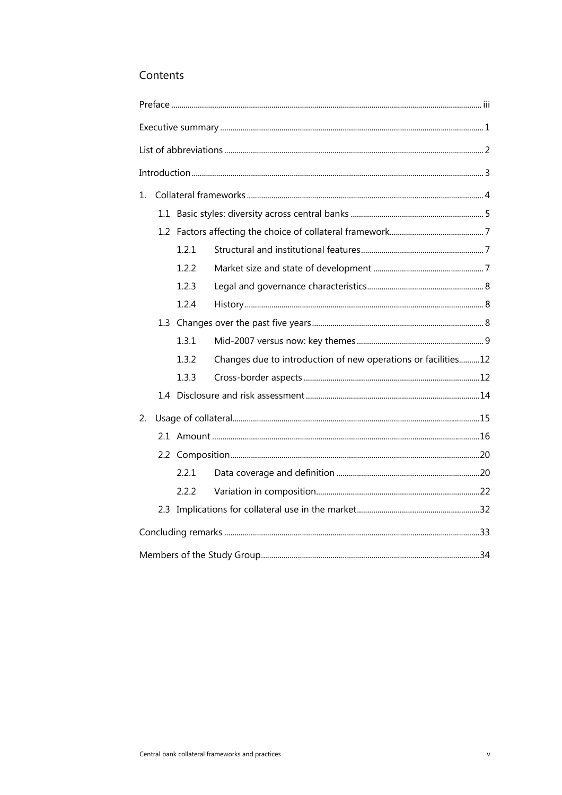# Contents

| 1. |  |       |                                                               |  |  |  |  |
|----|--|-------|---------------------------------------------------------------|--|--|--|--|
|    |  |       |                                                               |  |  |  |  |
|    |  |       |                                                               |  |  |  |  |
|    |  | 1.2.1 |                                                               |  |  |  |  |
|    |  | 1.2.2 |                                                               |  |  |  |  |
|    |  | 1.2.3 |                                                               |  |  |  |  |
|    |  | 1.2.4 |                                                               |  |  |  |  |
|    |  |       |                                                               |  |  |  |  |
|    |  | 1.3.1 |                                                               |  |  |  |  |
|    |  | 1.3.2 | Changes due to introduction of new operations or facilities12 |  |  |  |  |
|    |  | 1.3.3 |                                                               |  |  |  |  |
|    |  |       |                                                               |  |  |  |  |
| 2. |  |       |                                                               |  |  |  |  |
|    |  |       |                                                               |  |  |  |  |
|    |  |       |                                                               |  |  |  |  |
|    |  | 2.2.1 |                                                               |  |  |  |  |
|    |  | 2.2.2 |                                                               |  |  |  |  |
|    |  |       |                                                               |  |  |  |  |
|    |  |       |                                                               |  |  |  |  |
|    |  |       |                                                               |  |  |  |  |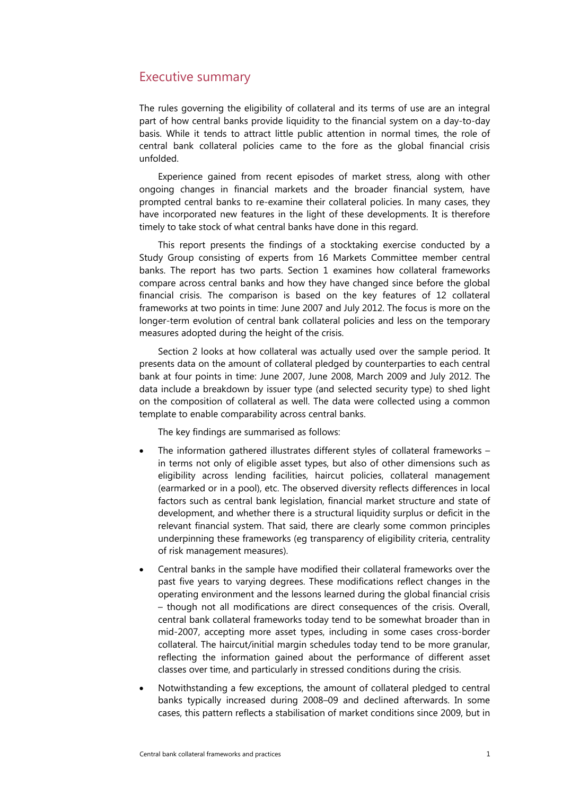# <span id="page-6-0"></span>Executive summary

The rules governing the eligibility of collateral and its terms of use are an integral part of how central banks provide liquidity to the financial system on a day-to-day basis. While it tends to attract little public attention in normal times, the role of central bank collateral policies came to the fore as the global financial crisis unfolded.

Experience gained from recent episodes of market stress, along with other ongoing changes in financial markets and the broader financial system, have prompted central banks to re-examine their collateral policies. In many cases, they have incorporated new features in the light of these developments. It is therefore timely to take stock of what central banks have done in this regard.

This report presents the findings of a stocktaking exercise conducted by a Study Group consisting of experts from 16 Markets Committee member central banks. The report has two parts. Section 1 examines how collateral frameworks compare across central banks and how they have changed since before the global financial crisis. The comparison is based on the key features of 12 collateral frameworks at two points in time: June 2007 and July 2012. The focus is more on the longer-term evolution of central bank collateral policies and less on the temporary measures adopted during the height of the crisis.

Section 2 looks at how collateral was actually used over the sample period. It presents data on the amount of collateral pledged by counterparties to each central bank at four points in time: June 2007, June 2008, March 2009 and July 2012. The data include a breakdown by issuer type (and selected security type) to shed light on the composition of collateral as well. The data were collected using a common template to enable comparability across central banks.

The key findings are summarised as follows:

- The information gathered illustrates different styles of collateral frameworks in terms not only of eligible asset types, but also of other dimensions such as eligibility across lending facilities, haircut policies, collateral management (earmarked or in a pool), etc. The observed diversity reflects differences in local factors such as central bank legislation, financial market structure and state of development, and whether there is a structural liquidity surplus or deficit in the relevant financial system. That said, there are clearly some common principles underpinning these frameworks (eg transparency of eligibility criteria, centrality of risk management measures).
- Central banks in the sample have modified their collateral frameworks over the past five years to varying degrees. These modifications reflect changes in the operating environment and the lessons learned during the global financial crisis – though not all modifications are direct consequences of the crisis. Overall, central bank collateral frameworks today tend to be somewhat broader than in mid-2007, accepting more asset types, including in some cases cross-border collateral. The haircut/initial margin schedules today tend to be more granular, reflecting the information gained about the performance of different asset classes over time, and particularly in stressed conditions during the crisis.
- Notwithstanding a few exceptions, the amount of collateral pledged to central banks typically increased during 2008–09 and declined afterwards. In some cases, this pattern reflects a stabilisation of market conditions since 2009, but in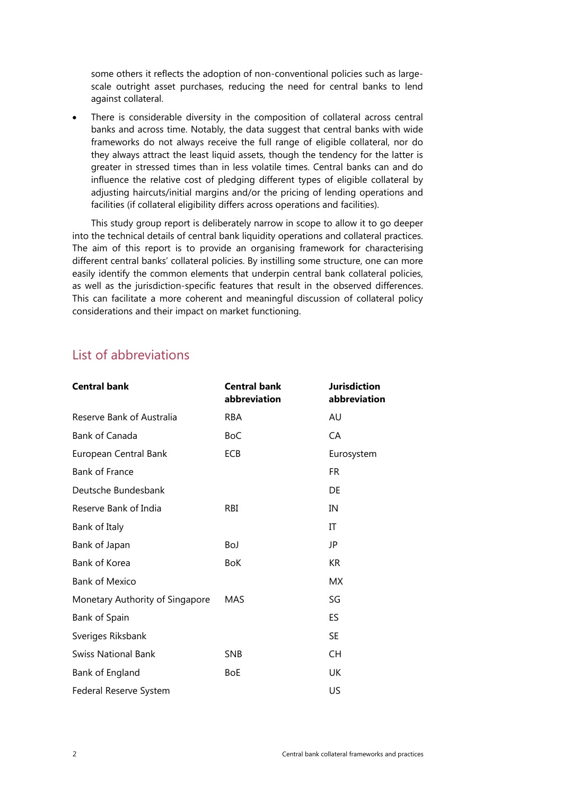<span id="page-7-0"></span>some others it reflects the adoption of non-conventional policies such as largescale outright asset purchases, reducing the need for central banks to lend against collateral.

 There is considerable diversity in the composition of collateral across central banks and across time. Notably, the data suggest that central banks with wide frameworks do not always receive the full range of eligible collateral, nor do they always attract the least liquid assets, though the tendency for the latter is greater in stressed times than in less volatile times. Central banks can and do influence the relative cost of pledging different types of eligible collateral by adjusting haircuts/initial margins and/or the pricing of lending operations and facilities (if collateral eligibility differs across operations and facilities).

This study group report is deliberately narrow in scope to allow it to go deeper into the technical details of central bank liquidity operations and collateral practices. The aim of this report is to provide an organising framework for characterising different central banks' collateral policies. By instilling some structure, one can more easily identify the common elements that underpin central bank collateral policies, as well as the jurisdiction-specific features that result in the observed differences. This can facilitate a more coherent and meaningful discussion of collateral policy considerations and their impact on market functioning.

# List of abbreviations

| <b>Central bank</b>             | <b>Central bank</b><br>abbreviation | <b>Jurisdiction</b><br>abbreviation |
|---------------------------------|-------------------------------------|-------------------------------------|
| Reserve Bank of Australia       | <b>RBA</b>                          | AU                                  |
| Bank of Canada                  | <b>BoC</b>                          | CA                                  |
| European Central Bank           | ECB                                 | Eurosystem                          |
| <b>Bank of France</b>           |                                     | FR.                                 |
| Deutsche Bundesbank             |                                     | DE                                  |
| Reserve Bank of India           | RBI                                 | IN                                  |
| Bank of Italy                   |                                     | IT                                  |
| Bank of Japan                   | BoJ                                 | JP                                  |
| Bank of Korea                   | <b>BoK</b>                          | KR                                  |
| <b>Bank of Mexico</b>           |                                     | МX                                  |
| Monetary Authority of Singapore | MAS                                 | SG                                  |
| Bank of Spain                   |                                     | <b>ES</b>                           |
| Sveriges Riksbank               |                                     | <b>SE</b>                           |
| <b>Swiss National Bank</b>      | <b>SNB</b>                          | <b>CH</b>                           |
| Bank of England                 | BoE                                 | UK                                  |
| Federal Reserve System          |                                     | US                                  |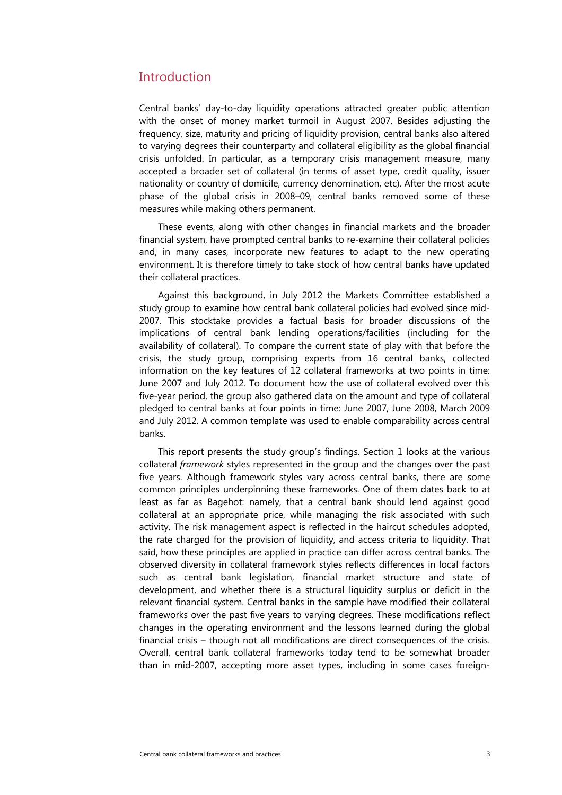# <span id="page-8-0"></span>**Introduction**

Central banks' day-to-day liquidity operations attracted greater public attention with the onset of money market turmoil in August 2007. Besides adjusting the frequency, size, maturity and pricing of liquidity provision, central banks also altered to varying degrees their counterparty and collateral eligibility as the global financial crisis unfolded. In particular, as a temporary crisis management measure, many accepted a broader set of collateral (in terms of asset type, credit quality, issuer nationality or country of domicile, currency denomination, etc). After the most acute phase of the global crisis in 2008–09, central banks removed some of these measures while making others permanent.

These events, along with other changes in financial markets and the broader financial system, have prompted central banks to re-examine their collateral policies and, in many cases, incorporate new features to adapt to the new operating environment. It is therefore timely to take stock of how central banks have updated their collateral practices.

Against this background, in July 2012 the Markets Committee established a study group to examine how central bank collateral policies had evolved since mid-2007. This stocktake provides a factual basis for broader discussions of the implications of central bank lending operations/facilities (including for the availability of collateral). To compare the current state of play with that before the crisis, the study group, comprising experts from 16 central banks, collected information on the key features of 12 collateral frameworks at two points in time: June 2007 and July 2012. To document how the use of collateral evolved over this five-year period, the group also gathered data on the amount and type of collateral pledged to central banks at four points in time: June 2007, June 2008, March 2009 and July 2012. A common template was used to enable comparability across central banks.

This report presents the study group's findings. Section 1 looks at the various collateral *framework* styles represented in the group and the changes over the past five years. Although framework styles vary across central banks, there are some common principles underpinning these frameworks. One of them dates back to at least as far as Bagehot: namely, that a central bank should lend against good collateral at an appropriate price, while managing the risk associated with such activity. The risk management aspect is reflected in the haircut schedules adopted, the rate charged for the provision of liquidity, and access criteria to liquidity. That said, how these principles are applied in practice can differ across central banks. The observed diversity in collateral framework styles reflects differences in local factors such as central bank legislation, financial market structure and state of development, and whether there is a structural liquidity surplus or deficit in the relevant financial system. Central banks in the sample have modified their collateral frameworks over the past five years to varying degrees. These modifications reflect changes in the operating environment and the lessons learned during the global financial crisis – though not all modifications are direct consequences of the crisis. Overall, central bank collateral frameworks today tend to be somewhat broader than in mid-2007, accepting more asset types, including in some cases foreign-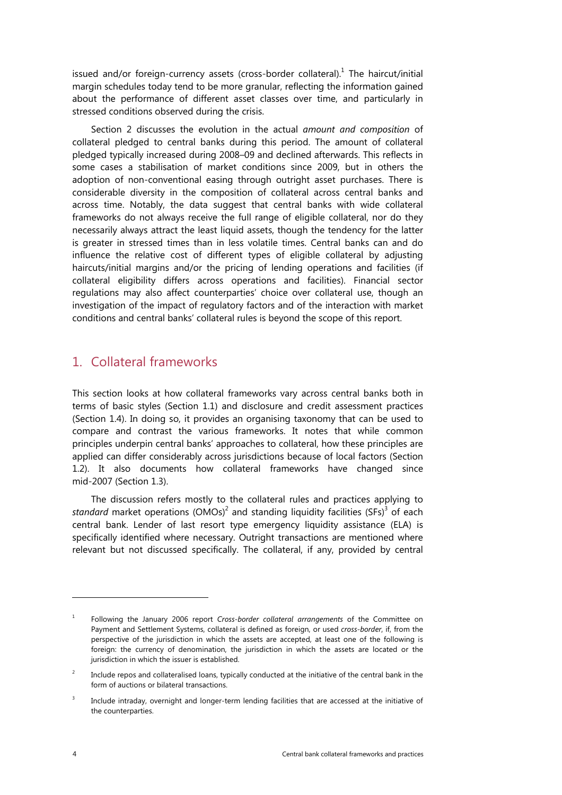<span id="page-9-0"></span>issued and/or foreign-currency assets (cross-border collateral).<sup>1</sup> The haircut/initial margin schedules today tend to be more granular, reflecting the information gained about the performance of different asset classes over time, and particularly in stressed conditions observed during the crisis.

Section 2 discusses the evolution in the actual *amount and composition* of collateral pledged to central banks during this period. The amount of collateral pledged typically increased during 2008–09 and declined afterwards. This reflects in some cases a stabilisation of market conditions since 2009, but in others the adoption of non-conventional easing through outright asset purchases. There is considerable diversity in the composition of collateral across central banks and across time. Notably, the data suggest that central banks with wide collateral frameworks do not always receive the full range of eligible collateral, nor do they necessarily always attract the least liquid assets, though the tendency for the latter is greater in stressed times than in less volatile times. Central banks can and do influence the relative cost of different types of eligible collateral by adjusting haircuts/initial margins and/or the pricing of lending operations and facilities (if collateral eligibility differs across operations and facilities). Financial sector regulations may also affect counterparties' choice over collateral use, though an investigation of the impact of regulatory factors and of the interaction with market conditions and central banks' collateral rules is beyond the scope of this report.

# 1. Collateral frameworks

This section looks at how collateral frameworks vary across central banks both in terms of basic styles (Section 1.1) and disclosure and credit assessment practices (Section 1.4). In doing so, it provides an organising taxonomy that can be used to compare and contrast the various frameworks. It notes that while common principles underpin central banks' approaches to collateral, how these principles are applied can differ considerably across jurisdictions because of local factors (Section 1.2). It also documents how collateral frameworks have changed since mid-2007 (Section 1.3).

The discussion refers mostly to the collateral rules and practices applying to standard market operations (OMOs)<sup>2</sup> and standing liquidity facilities (SFs)<sup>3</sup> of each central bank. Lender of last resort type emergency liquidity assistance (ELA) is specifically identified where necessary. Outright transactions are mentioned where relevant but not discussed specifically. The collateral, if any, provided by central

<sup>1</sup> Following the January 2006 report *Cross-border collateral arrangements* of the Committee on Payment and Settlement Systems, collateral is defined as foreign, or used *cross-border*, if, from the perspective of the jurisdiction in which the assets are accepted, at least one of the following is foreign: the currency of denomination, the jurisdiction in which the assets are located or the jurisdiction in which the issuer is established.

<sup>2</sup> Include repos and collateralised loans, typically conducted at the initiative of the central bank in the form of auctions or bilateral transactions.

<sup>3</sup> Include intraday, overnight and longer-term lending facilities that are accessed at the initiative of the counterparties.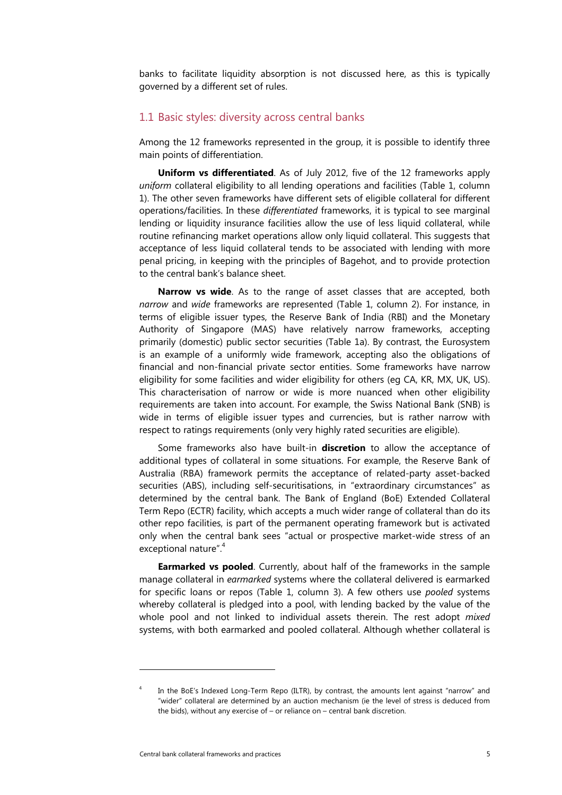<span id="page-10-0"></span>banks to facilitate liquidity absorption is not discussed here, as this is typically governed by a different set of rules.

#### 1.1 Basic styles: diversity across central banks

Among the 12 frameworks represented in the group, it is possible to identify three main points of differentiation.

**Uniform vs differentiated**. As of July 2012, five of the 12 frameworks apply *uniform* collateral eligibility to all lending operations and facilities (Table 1, column 1). The other seven frameworks have different sets of eligible collateral for different operations/facilities. In these *differentiated* frameworks, it is typical to see marginal lending or liquidity insurance facilities allow the use of less liquid collateral, while routine refinancing market operations allow only liquid collateral. This suggests that acceptance of less liquid collateral tends to be associated with lending with more penal pricing, in keeping with the principles of Bagehot, and to provide protection to the central bank's balance sheet.

**Narrow vs wide**. As to the range of asset classes that are accepted, both *narrow* and *wide* frameworks are represented (Table 1, column 2). For instance, in terms of eligible issuer types, the Reserve Bank of India (RBI) and the Monetary Authority of Singapore (MAS) have relatively narrow frameworks, accepting primarily (domestic) public sector securities (Table 1a). By contrast, the Eurosystem is an example of a uniformly wide framework, accepting also the obligations of financial and non-financial private sector entities. Some frameworks have narrow eligibility for some facilities and wider eligibility for others (eg CA, KR, MX, UK, US). This characterisation of narrow or wide is more nuanced when other eligibility requirements are taken into account. For example, the Swiss National Bank (SNB) is wide in terms of eligible issuer types and currencies, but is rather narrow with respect to ratings requirements (only very highly rated securities are eligible).

Some frameworks also have built-in **discretion** to allow the acceptance of additional types of collateral in some situations. For example, the Reserve Bank of Australia (RBA) framework permits the acceptance of related-party asset-backed securities (ABS), including self-securitisations, in "extraordinary circumstances" as determined by the central bank. The Bank of England (BoE) Extended Collateral Term Repo (ECTR) facility, which accepts a much wider range of collateral than do its other repo facilities, is part of the permanent operating framework but is activated only when the central bank sees "actual or prospective market-wide stress of an exceptional nature".<sup>4</sup>

**Earmarked vs pooled**. Currently, about half of the frameworks in the sample manage collateral in *earmarked* systems where the collateral delivered is earmarked for specific loans or repos (Table 1, column 3). A few others use *pooled* systems whereby collateral is pledged into a pool, with lending backed by the value of the whole pool and not linked to individual assets therein. The rest adopt *mixed* systems, with both earmarked and pooled collateral. Although whether collateral is

<sup>4</sup> In the BoE's Indexed Long-Term Repo (ILTR), by contrast, the amounts lent against "narrow" and "wider" collateral are determined by an auction mechanism (ie the level of stress is deduced from the bids), without any exercise of – or reliance on – central bank discretion.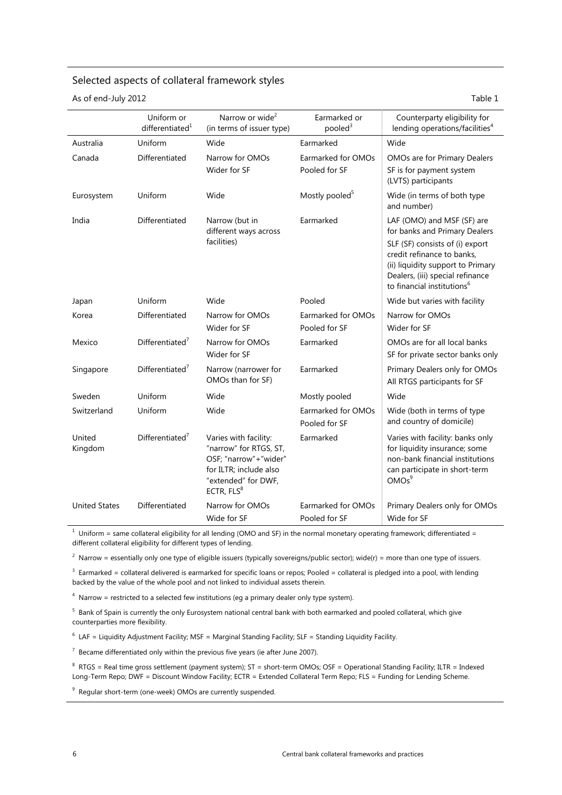#### Selected aspects of collateral framework styles

As of end-July 2012 Table 1

|                      | Uniform or<br>differentiated <sup>1</sup> | Narrow or wide <sup>2</sup><br>(in terms of issuer type)                                                                                            | Earmarked or<br>pooled $3$          | Counterparty eligibility for<br>lending operations/facilities <sup>4</sup>                                                                                                                                                                      |
|----------------------|-------------------------------------------|-----------------------------------------------------------------------------------------------------------------------------------------------------|-------------------------------------|-------------------------------------------------------------------------------------------------------------------------------------------------------------------------------------------------------------------------------------------------|
| Australia            | Uniform                                   | Wide                                                                                                                                                | Earmarked                           | Wide                                                                                                                                                                                                                                            |
| Canada               | Differentiated                            | Narrow for OMOs<br>Wider for SF                                                                                                                     | Earmarked for OMOs<br>Pooled for SF | OMOs are for Primary Dealers<br>SF is for payment system<br>(LVTS) participants                                                                                                                                                                 |
| Eurosystem           | Uniform                                   | Wide                                                                                                                                                | Mostly pooled <sup>5</sup>          | Wide (in terms of both type<br>and number)                                                                                                                                                                                                      |
| India                | Differentiated                            | Narrow (but in<br>different ways across<br>facilities)                                                                                              | Earmarked                           | LAF (OMO) and MSF (SF) are<br>for banks and Primary Dealers<br>SLF (SF) consists of (i) export<br>credit refinance to banks,<br>(ii) liquidity support to Primary<br>Dealers, (iii) special refinance<br>to financial institutions <sup>6</sup> |
| Japan                | Uniform                                   | Wide                                                                                                                                                | Pooled                              | Wide but varies with facility                                                                                                                                                                                                                   |
| Korea                | Differentiated                            | Narrow for OMOs<br>Wider for SF                                                                                                                     | Earmarked for OMOs<br>Pooled for SF | Narrow for OMOs<br>Wider for SF                                                                                                                                                                                                                 |
| Mexico               | Differential <sup>7</sup>                 | Narrow for OMOs<br>Wider for SF                                                                                                                     | Earmarked                           | OMOs are for all local banks<br>SF for private sector banks only                                                                                                                                                                                |
| Singapore            | Differentiated $7$                        | Narrow (narrower for<br>OMOs than for SF)                                                                                                           | Earmarked                           | Primary Dealers only for OMOs<br>All RTGS participants for SF                                                                                                                                                                                   |
| Sweden               | Uniform                                   | Wide                                                                                                                                                | Mostly pooled                       | Wide                                                                                                                                                                                                                                            |
| Switzerland          | Uniform                                   | Wide                                                                                                                                                | Earmarked for OMOs<br>Pooled for SF | Wide (both in terms of type<br>and country of domicile)                                                                                                                                                                                         |
| United<br>Kingdom    | Differentiated $7$                        | Varies with facility:<br>"narrow" for RTGS, ST,<br>OSF; "narrow"+"wider"<br>for ILTR; include also<br>"extended" for DWF,<br>ECTR, FLS <sup>8</sup> | Earmarked                           | Varies with facility: banks only<br>for liquidity insurance; some<br>non-bank financial institutions<br>can participate in short-term<br>OMOs <sup>9</sup>                                                                                      |
| <b>United States</b> | Differentiated                            | Narrow for OMOs<br>Wide for SF                                                                                                                      | Earmarked for OMOs<br>Pooled for SF | Primary Dealers only for OMOs<br>Wide for SF                                                                                                                                                                                                    |

 $1$  Uniform = same collateral eligibility for all lending (OMO and SF) in the normal monetary operating framework; differentiated = different collateral eligibility for different types of lending.

 $^2$  Narrow = essentially only one type of eligible issuers (typically sovereigns/public sector); wide(r) = more than one type of issuers.

 $3$  Earmarked = collateral delivered is earmarked for specific loans or repos; Pooled = collateral is pledged into a pool, with lending backed by the value of the whole pool and not linked to individual assets therein.

 $4$  Narrow = restricted to a selected few institutions (eg a primary dealer only type system).

<sup>5</sup> Bank of Spain is currently the only Eurosystem national central bank with both earmarked and pooled collateral, which give counterparties more flexibility.

 $6$  LAF = Liquidity Adjustment Facility; MSF = Marginal Standing Facility; SLF = Standing Liquidity Facility.

 $7$  Became differentiated only within the previous five years (ie after June 2007).

8 RTGS = Real time gross settlement (payment system); ST = short-term OMOs; OSF = Operational Standing Facility; ILTR = Indexed Long-Term Repo; DWF = Discount Window Facility; ECTR = Extended Collateral Term Repo; FLS = Funding for Lending Scheme.

<sup>9</sup> Regular short-term (one-week) OMOs are currently suspended.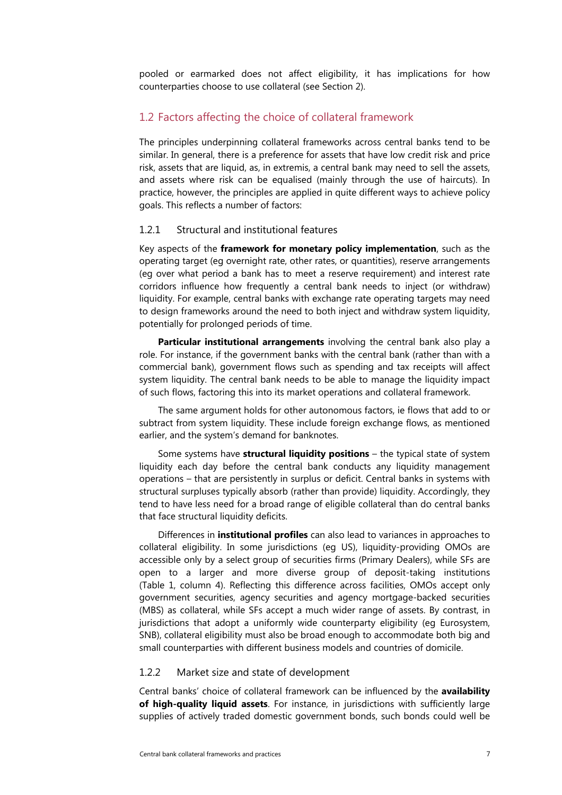<span id="page-12-0"></span>pooled or earmarked does not affect eligibility, it has implications for how counterparties choose to use collateral (see Section 2).

# 1.2 Factors affecting the choice of collateral framework

The principles underpinning collateral frameworks across central banks tend to be similar. In general, there is a preference for assets that have low credit risk and price risk, assets that are liquid, as, in extremis, a central bank may need to sell the assets, and assets where risk can be equalised (mainly through the use of haircuts). In practice, however, the principles are applied in quite different ways to achieve policy goals. This reflects a number of factors:

#### 1.2.1 Structural and institutional features

Key aspects of the **framework for monetary policy implementation**, such as the operating target (eg overnight rate, other rates, or quantities), reserve arrangements (eg over what period a bank has to meet a reserve requirement) and interest rate corridors influence how frequently a central bank needs to inject (or withdraw) liquidity. For example, central banks with exchange rate operating targets may need to design frameworks around the need to both inject and withdraw system liquidity, potentially for prolonged periods of time.

**Particular institutional arrangements** involving the central bank also play a role. For instance, if the government banks with the central bank (rather than with a commercial bank), government flows such as spending and tax receipts will affect system liquidity. The central bank needs to be able to manage the liquidity impact of such flows, factoring this into its market operations and collateral framework.

The same argument holds for other autonomous factors, ie flows that add to or subtract from system liquidity. These include foreign exchange flows, as mentioned earlier, and the system's demand for banknotes.

Some systems have **structural liquidity positions** – the typical state of system liquidity each day before the central bank conducts any liquidity management operations – that are persistently in surplus or deficit. Central banks in systems with structural surpluses typically absorb (rather than provide) liquidity. Accordingly, they tend to have less need for a broad range of eligible collateral than do central banks that face structural liquidity deficits.

Differences in **institutional profiles** can also lead to variances in approaches to collateral eligibility. In some jurisdictions (eg US), liquidity-providing OMOs are accessible only by a select group of securities firms (Primary Dealers), while SFs are open to a larger and more diverse group of deposit-taking institutions (Table 1, column 4). Reflecting this difference across facilities, OMOs accept only government securities, agency securities and agency mortgage-backed securities (MBS) as collateral, while SFs accept a much wider range of assets. By contrast, in jurisdictions that adopt a uniformly wide counterparty eligibility (eg Eurosystem, SNB), collateral eligibility must also be broad enough to accommodate both big and small counterparties with different business models and countries of domicile.

#### 1.2.2 Market size and state of development

Central banks' choice of collateral framework can be influenced by the **availability of high-quality liquid assets**. For instance, in jurisdictions with sufficiently large supplies of actively traded domestic government bonds, such bonds could well be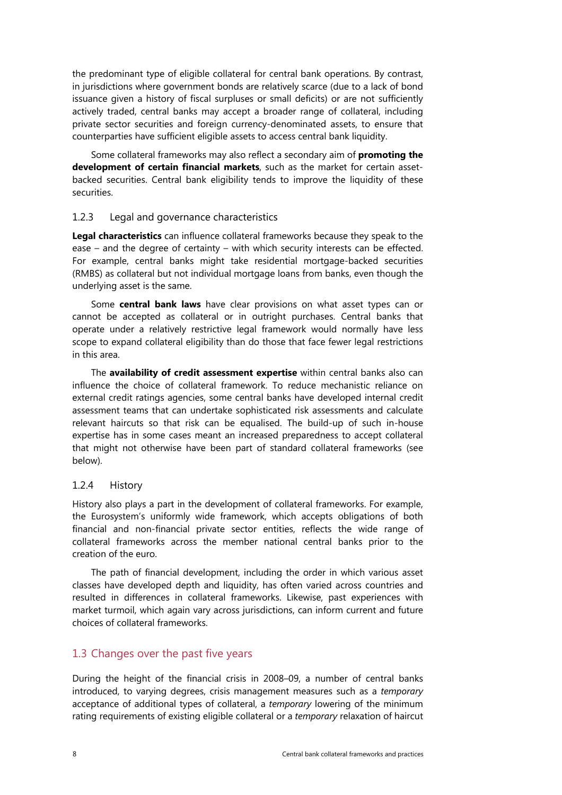<span id="page-13-0"></span>the predominant type of eligible collateral for central bank operations. By contrast, in jurisdictions where government bonds are relatively scarce (due to a lack of bond issuance given a history of fiscal surpluses or small deficits) or are not sufficiently actively traded, central banks may accept a broader range of collateral, including private sector securities and foreign currency-denominated assets, to ensure that counterparties have sufficient eligible assets to access central bank liquidity.

Some collateral frameworks may also reflect a secondary aim of **promoting the development of certain financial markets**, such as the market for certain assetbacked securities. Central bank eligibility tends to improve the liquidity of these securities.

#### 1.2.3 Legal and governance characteristics

**Legal characteristics** can influence collateral frameworks because they speak to the ease – and the degree of certainty – with which security interests can be effected. For example, central banks might take residential mortgage-backed securities (RMBS) as collateral but not individual mortgage loans from banks, even though the underlying asset is the same.

Some **central bank laws** have clear provisions on what asset types can or cannot be accepted as collateral or in outright purchases. Central banks that operate under a relatively restrictive legal framework would normally have less scope to expand collateral eligibility than do those that face fewer legal restrictions in this area.

The **availability of credit assessment expertise** within central banks also can influence the choice of collateral framework. To reduce mechanistic reliance on external credit ratings agencies, some central banks have developed internal credit assessment teams that can undertake sophisticated risk assessments and calculate relevant haircuts so that risk can be equalised. The build-up of such in-house expertise has in some cases meant an increased preparedness to accept collateral that might not otherwise have been part of standard collateral frameworks (see below).

## 1.2.4 History

History also plays a part in the development of collateral frameworks. For example, the Eurosystem's uniformly wide framework, which accepts obligations of both financial and non-financial private sector entities, reflects the wide range of collateral frameworks across the member national central banks prior to the creation of the euro.

The path of financial development, including the order in which various asset classes have developed depth and liquidity, has often varied across countries and resulted in differences in collateral frameworks. Likewise, past experiences with market turmoil, which again vary across jurisdictions, can inform current and future choices of collateral frameworks.

# 1.3 Changes over the past five years

During the height of the financial crisis in 2008–09, a number of central banks introduced, to varying degrees, crisis management measures such as a *temporary* acceptance of additional types of collateral, a *temporary* lowering of the minimum rating requirements of existing eligible collateral or a *temporary* relaxation of haircut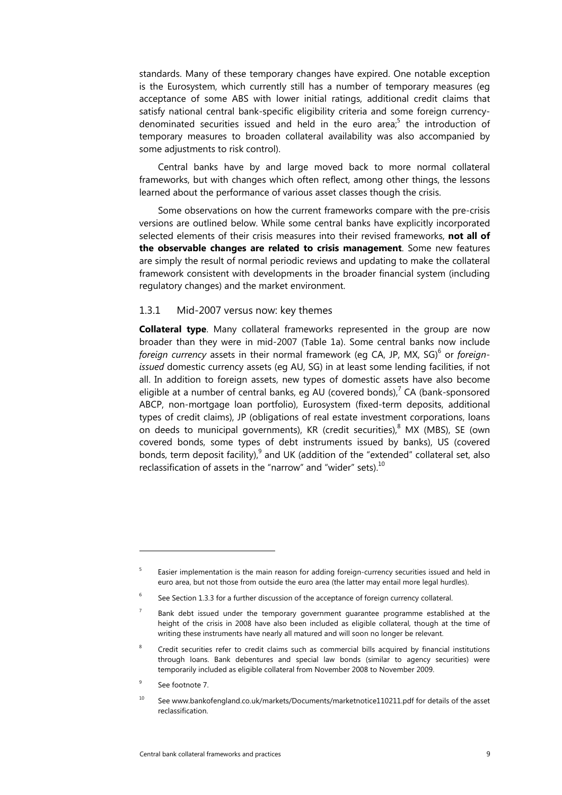<span id="page-14-0"></span>standards. Many of these temporary changes have expired. One notable exception is the Eurosystem, which currently still has a number of temporary measures (eg acceptance of some ABS with lower initial ratings, additional credit claims that satisfy national central bank-specific eligibility criteria and some foreign currencydenominated securities issued and held in the euro area;<sup>5</sup> the introduction of temporary measures to broaden collateral availability was also accompanied by some adjustments to risk control).

Central banks have by and large moved back to more normal collateral frameworks, but with changes which often reflect, among other things, the lessons learned about the performance of various asset classes though the crisis.

Some observations on how the current frameworks compare with the pre-crisis versions are outlined below. While some central banks have explicitly incorporated selected elements of their crisis measures into their revised frameworks, **not all of the observable changes are related to crisis management**. Some new features are simply the result of normal periodic reviews and updating to make the collateral framework consistent with developments in the broader financial system (including regulatory changes) and the market environment.

#### 1.3.1 Mid-2007 versus now: key themes

**Collateral type**. Many collateral frameworks represented in the group are now broader than they were in mid-2007 (Table 1a). Some central banks now include foreign currency assets in their normal framework (eg CA, JP, MX, SG)<sup>6</sup> or foreign*issued* domestic currency assets (eg AU, SG) in at least some lending facilities, if not all. In addition to foreign assets, new types of domestic assets have also become eligible at a number of central banks, eg AU (covered bonds), $7$  CA (bank-sponsored ABCP, non-mortgage loan portfolio), Eurosystem (fixed-term deposits, additional types of credit claims), JP (obligations of real estate investment corporations, loans on deeds to municipal governments), KR (credit securities), $^8$  MX (MBS), SE (own covered bonds, some types of debt instruments issued by banks), US (covered bonds, term deposit facility), $^{9}$  and UK (addition of the "extended" collateral set, also reclassification of assets in the "narrow" and "wider" sets). $^{10}$ 

<sup>5</sup> Easier implementation is the main reason for adding foreign-currency securities issued and held in euro area, but not those from outside the euro area (the latter may entail more legal hurdles).

<sup>6</sup> See Section 1.3.3 for a further discussion of the acceptance of foreign currency collateral.

<sup>7</sup> Bank debt issued under the temporary government guarantee programme established at the height of the crisis in 2008 have also been included as eligible collateral, though at the time of writing these instruments have nearly all matured and will soon no longer be relevant.

<sup>8</sup> Credit securities refer to credit claims such as commercial bills acquired by financial institutions through loans. Bank debentures and special law bonds (similar to agency securities) were temporarily included as eligible collateral from November 2008 to November 2009.

<sup>9</sup> See footnote 7.

<sup>10</sup> See www.bankofengland.co.uk/markets/Documents/marketnotice110211.pdf for details of the asset reclassification.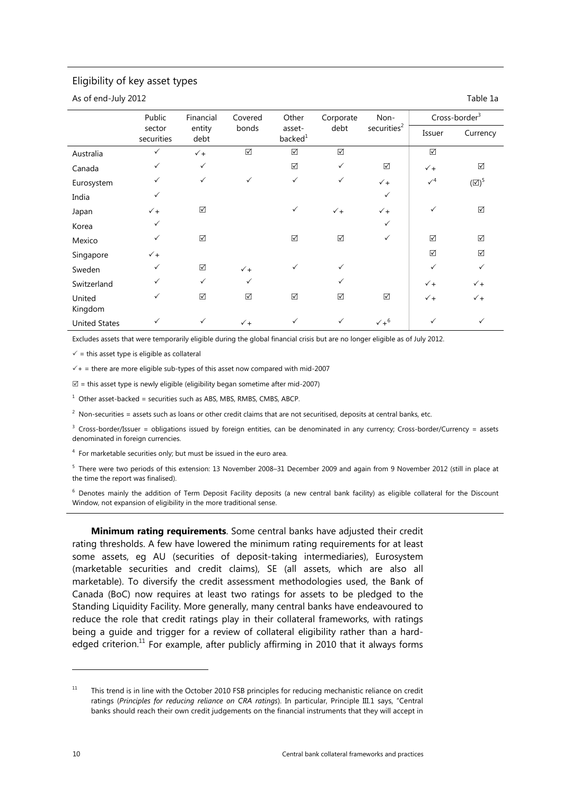#### Eligibility of key asset types

As of end-July 2012 **Table 1a** and the state of the state of the state of the state of the state of the state of the state of the state of the state of the state of the state of the state of the state of the state of the s

|                      | Public               | Financial      | Covered              | Other                         | Corporate       | Non-                    |                      | Cross-border <sup>3</sup> |
|----------------------|----------------------|----------------|----------------------|-------------------------------|-----------------|-------------------------|----------------------|---------------------------|
|                      | sector<br>securities | entity<br>debt | bonds                | asset-<br>backed <sup>1</sup> | debt            | securities <sup>2</sup> | Issuer               | Currency                  |
| Australia            | $\checkmark$         | $\checkmark$ + | $\boxed{\checkmark}$ | $\boxed{\checkmark}$          | $\triangledown$ |                         | $\boxed{\checkmark}$ |                           |
| Canada               | $\checkmark$         | $\checkmark$   |                      | $\boxed{\text{V}}$            | $\checkmark$    | ☑                       | $\checkmark$ +       | ☑                         |
| Eurosystem           | $\checkmark$         | $\checkmark$   | $\checkmark$         | $\checkmark$                  | $\checkmark$    | $\checkmark$ +          | $\sqrt{4}$           | $(\boxtimes)^5$           |
| India                | $\checkmark$         |                |                      |                               |                 | $\checkmark$            |                      |                           |
| Japan                | $\checkmark$ +       | ☑              |                      | $\checkmark$                  | $\checkmark$ +  | $\checkmark$ +          | ✓                    | ☑                         |
| Korea                | $\checkmark$         |                |                      |                               |                 | $\checkmark$            |                      |                           |
| Mexico               | $\checkmark$         | $\boxtimes$    |                      | $\boxed{\text{V}}$            | $\boxtimes$     | $\checkmark$            | $\boxed{\checkmark}$ | ☑                         |
| Singapore            | $\checkmark$ +       |                |                      |                               |                 |                         | $\boxed{\checkmark}$ | $\boxed{\checkmark}$      |
| Sweden               | $\checkmark$         | $\boxtimes$    | $\checkmark$ +       | $\checkmark$                  | $\checkmark$    |                         | $\checkmark$         | $\checkmark$              |
| Switzerland          | $\checkmark$         | $\checkmark$   | $\checkmark$         |                               | $\checkmark$    |                         | $\checkmark$ +       | $\checkmark$ +            |
| United<br>Kingdom    | $\checkmark$         | ☑              | ☑                    | ☑                             | ☑               | ☑                       | $\checkmark$         | $\checkmark$ +            |
| <b>United States</b> | ✓                    | $\checkmark$   | $\checkmark$ +       | $\checkmark$                  | $\checkmark$    | $\nu + 6$               | $\checkmark$         | ✓                         |

Excludes assets that were temporarily eligible during the global financial crisis but are no longer eligible as of July 2012.

 $\checkmark$  = this asset type is eligible as collateral

 $\sqrt{+}$  = there are more eligible sub-types of this asset now compared with mid-2007

 $\mathbb{Z}$  = this asset type is newly eligible (eligibility began sometime after mid-2007)

 $1$  Other asset-backed = securities such as ABS, MBS, RMBS, CMBS, ABCP.

 $^2$  Non-securities = assets such as loans or other credit claims that are not securitised, deposits at central banks, etc.

 $3$  Cross-border/Issuer = obligations issued by foreign entities, can be denominated in any currency; Cross-border/Currency = assets denominated in foreign currencies.

<sup>4</sup> For marketable securities only; but must be issued in the euro area.

<sup>5</sup> There were two periods of this extension: 13 November 2008–31 December 2009 and again from 9 November 2012 (still in place at the time the report was finalised).

<sup>6</sup> Denotes mainly the addition of Term Deposit Facility deposits (a new central bank facility) as eligible collateral for the Discount Window, not expansion of eligibility in the more traditional sense.

**Minimum rating requirements**. Some central banks have adjusted their credit rating thresholds. A few have lowered the minimum rating requirements for at least some assets, eg AU (securities of deposit-taking intermediaries), Eurosystem (marketable securities and credit claims), SE (all assets, which are also all marketable). To diversify the credit assessment methodologies used, the Bank of Canada (BoC) now requires at least two ratings for assets to be pledged to the Standing Liquidity Facility. More generally, many central banks have endeavoured to reduce the role that credit ratings play in their collateral frameworks, with ratings being a guide and trigger for a review of collateral eligibility rather than a hardedged criterion.<sup>11</sup> For example, after publicly affirming in 2010 that it always forms

<sup>&</sup>lt;sup>11</sup> This trend is in line with the October 2010 FSB principles for reducing mechanistic reliance on credit ratings (*Principles for reducing reliance on CRA ratings*). In particular, Principle III.1 says, "Central banks should reach their own credit judgements on the financial instruments that they will accept in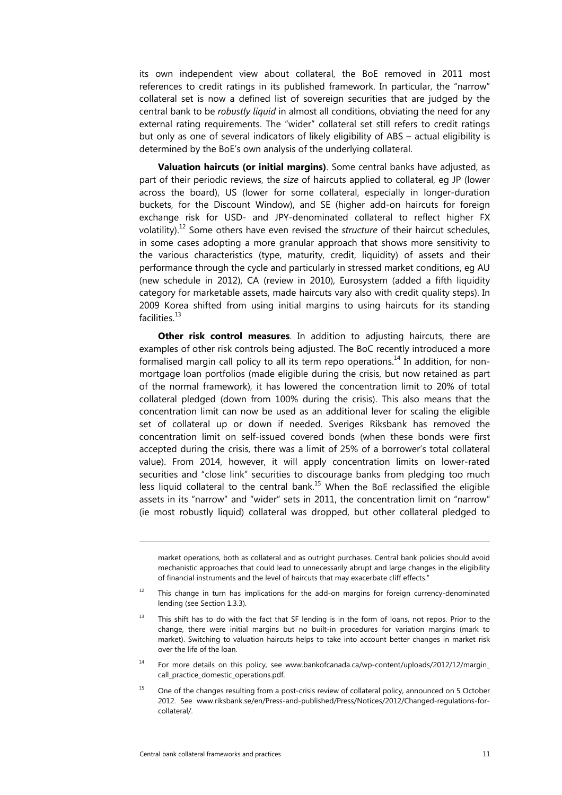its own independent view about collateral, the BoE removed in 2011 most references to credit ratings in its published framework. In particular, the "narrow" collateral set is now a defined list of sovereign securities that are judged by the central bank to be *robustly liquid* in almost all conditions, obviating the need for any external rating requirements. The "wider" collateral set still refers to credit ratings but only as one of several indicators of likely eligibility of ABS – actual eligibility is determined by the BoE's own analysis of the underlying collateral.

**Valuation haircuts (or initial margins)**. Some central banks have adjusted, as part of their periodic reviews, the *size* of haircuts applied to collateral, eg JP (lower across the board), US (lower for some collateral, especially in longer-duration buckets, for the Discount Window), and SE (higher add-on haircuts for foreign exchange risk for USD- and JPY-denominated collateral to reflect higher FX volatility).12 Some others have even revised the *structure* of their haircut schedules, in some cases adopting a more granular approach that shows more sensitivity to the various characteristics (type, maturity, credit, liquidity) of assets and their performance through the cycle and particularly in stressed market conditions, eg AU (new schedule in 2012), CA (review in 2010), Eurosystem (added a fifth liquidity category for marketable assets, made haircuts vary also with credit quality steps). In 2009 Korea shifted from using initial margins to using haircuts for its standing facilities $13$ 

**Other risk control measures**. In addition to adjusting haircuts, there are examples of other risk controls being adjusted. The BoC recently introduced a more formalised margin call policy to all its term repo operations.<sup>14</sup> In addition, for nonmortgage loan portfolios (made eligible during the crisis, but now retained as part of the normal framework), it has lowered the concentration limit to 20% of total collateral pledged (down from 100% during the crisis). This also means that the concentration limit can now be used as an additional lever for scaling the eligible set of collateral up or down if needed. Sveriges Riksbank has removed the concentration limit on self-issued covered bonds (when these bonds were first accepted during the crisis, there was a limit of 25% of a borrower's total collateral value). From 2014, however, it will apply concentration limits on lower-rated securities and "close link" securities to discourage banks from pledging too much less liquid collateral to the central bank.<sup>15</sup> When the BoE reclassified the eligible assets in its "narrow" and "wider" sets in 2011, the concentration limit on "narrow" (ie most robustly liquid) collateral was dropped, but other collateral pledged to

market operations, both as collateral and as outright purchases. Central bank policies should avoid mechanistic approaches that could lead to unnecessarily abrupt and large changes in the eligibility of financial instruments and the level of haircuts that may exacerbate cliff effects."

<sup>12</sup> This change in turn has implications for the add-on margins for foreign currency-denominated lending (see Section 1.3.3).

<sup>&</sup>lt;sup>13</sup> This shift has to do with the fact that SF lending is in the form of loans, not repos. Prior to the change, there were initial margins but no built-in procedures for variation margins (mark to market). Switching to valuation haircuts helps to take into account better changes in market risk over the life of the loan.

<sup>&</sup>lt;sup>14</sup> For more details on this policy, see www.bankofcanada.ca/wp-content/uploads/2012/12/margin\_ call\_practice\_domestic\_operations.pdf.

<sup>&</sup>lt;sup>15</sup> One of the changes resulting from a post-crisis review of collateral policy, announced on 5 October 2012. See www.riksbank.se/en/Press-and-published/Press/Notices/2012/Changed-regulations-forcollateral/.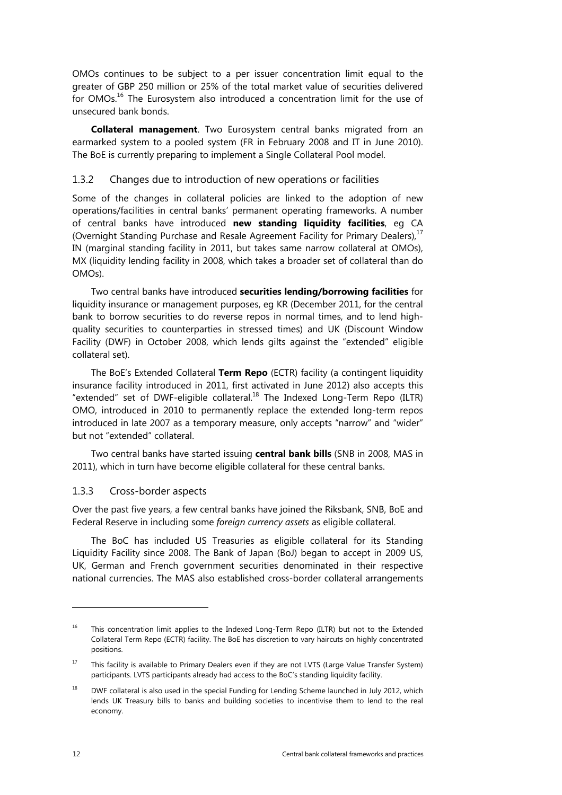<span id="page-17-0"></span>OMOs continues to be subject to a per issuer concentration limit equal to the greater of GBP 250 million or 25% of the total market value of securities delivered for OMOs.<sup>16</sup> The Eurosystem also introduced a concentration limit for the use of unsecured bank bonds.

**Collateral management**. Two Eurosystem central banks migrated from an earmarked system to a pooled system (FR in February 2008 and IT in June 2010). The BoE is currently preparing to implement a Single Collateral Pool model.

#### 1.3.2 Changes due to introduction of new operations or facilities

Some of the changes in collateral policies are linked to the adoption of new operations/facilities in central banks' permanent operating frameworks. A number of central banks have introduced **new standing liquidity facilities**, eg CA (Overnight Standing Purchase and Resale Agreement Facility for Primary Dealers),<sup>17</sup> IN (marginal standing facility in 2011, but takes same narrow collateral at OMOs), MX (liquidity lending facility in 2008, which takes a broader set of collateral than do OMOs).

Two central banks have introduced **securities lending/borrowing facilities** for liquidity insurance or management purposes, eg KR (December 2011, for the central bank to borrow securities to do reverse repos in normal times, and to lend highquality securities to counterparties in stressed times) and UK (Discount Window Facility (DWF) in October 2008, which lends gilts against the "extended" eligible collateral set).

The BoE's Extended Collateral **Term Repo** (ECTR) facility (a contingent liquidity insurance facility introduced in 2011, first activated in June 2012) also accepts this "extended" set of DWF-eligible collateral.<sup>18</sup> The Indexed Long-Term Repo (ILTR) OMO, introduced in 2010 to permanently replace the extended long-term repos introduced in late 2007 as a temporary measure, only accepts "narrow" and "wider" but not "extended" collateral.

Two central banks have started issuing **central bank bills** (SNB in 2008, MAS in 2011), which in turn have become eligible collateral for these central banks.

## 1.3.3 Cross-border aspects

Over the past five years, a few central banks have joined the Riksbank, SNB, BoE and Federal Reserve in including some *foreign currency assets* as eligible collateral.

The BoC has included US Treasuries as eligible collateral for its Standing Liquidity Facility since 2008. The Bank of Japan (BoJ) began to accept in 2009 US, UK, German and French government securities denominated in their respective national currencies. The MAS also established cross-border collateral arrangements

<sup>&</sup>lt;sup>16</sup> This concentration limit applies to the Indexed Long-Term Repo (ILTR) but not to the Extended Collateral Term Repo (ECTR) facility. The BoE has discretion to vary haircuts on highly concentrated positions.

<sup>&</sup>lt;sup>17</sup> This facility is available to Primary Dealers even if they are not LVTS (Large Value Transfer System) participants. LVTS participants already had access to the BoC's standing liquidity facility.

<sup>&</sup>lt;sup>18</sup> DWF collateral is also used in the special Funding for Lending Scheme launched in July 2012, which lends UK Treasury bills to banks and building societies to incentivise them to lend to the real economy.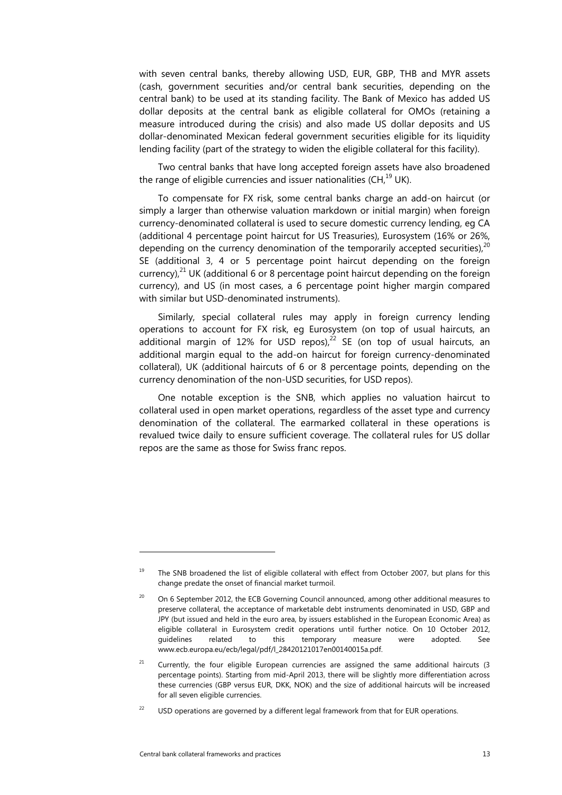with seven central banks, thereby allowing USD, EUR, GBP, THB and MYR assets (cash, government securities and/or central bank securities, depending on the central bank) to be used at its standing facility. The Bank of Mexico has added US dollar deposits at the central bank as eligible collateral for OMOs (retaining a measure introduced during the crisis) and also made US dollar deposits and US dollar-denominated Mexican federal government securities eligible for its liquidity lending facility (part of the strategy to widen the eligible collateral for this facility).

Two central banks that have long accepted foreign assets have also broadened the range of eligible currencies and issuer nationalities (CH, $^{19}$  UK).

To compensate for FX risk, some central banks charge an add-on haircut (or simply a larger than otherwise valuation markdown or initial margin) when foreign currency-denominated collateral is used to secure domestic currency lending, eg CA (additional 4 percentage point haircut for US Treasuries), Eurosystem (16% or 26%, depending on the currency denomination of the temporarily accepted securities). $^{20}$ SE (additional 3, 4 or 5 percentage point haircut depending on the foreign currency), $^{21}$  UK (additional 6 or 8 percentage point haircut depending on the foreign currency), and US (in most cases, a 6 percentage point higher margin compared with similar but USD-denominated instruments).

Similarly, special collateral rules may apply in foreign currency lending operations to account for FX risk, eg Eurosystem (on top of usual haircuts, an additional margin of 12% for USD repos), $^{22}$  SE (on top of usual haircuts, an additional margin equal to the add-on haircut for foreign currency-denominated collateral), UK (additional haircuts of 6 or 8 percentage points, depending on the currency denomination of the non-USD securities, for USD repos).

One notable exception is the SNB, which applies no valuation haircut to collateral used in open market operations, regardless of the asset type and currency denomination of the collateral. The earmarked collateral in these operations is revalued twice daily to ensure sufficient coverage. The collateral rules for US dollar repos are the same as those for Swiss franc repos.

<sup>&</sup>lt;sup>19</sup> The SNB broadened the list of eligible collateral with effect from October 2007, but plans for this change predate the onset of financial market turmoil.

<sup>20</sup> On 6 September 2012, the ECB Governing Council announced, among other additional measures to preserve collateral, the acceptance of marketable debt instruments denominated in USD, GBP and JPY (but issued and held in the euro area, by issuers established in the European Economic Area) as eligible collateral in Eurosystem credit operations until further notice. On 10 October 2012, guidelines related to this temporary measure were adopted. See www.ecb.europa.eu/ecb/legal/pdf/l\_28420121017en00140015a.pdf.

Currently, the four eligible European currencies are assigned the same additional haircuts (3 percentage points). Starting from mid-April 2013, there will be slightly more differentiation across these currencies (GBP versus EUR, DKK, NOK) and the size of additional haircuts will be increased for all seven eligible currencies.

<sup>&</sup>lt;sup>22</sup> USD operations are governed by a different legal framework from that for EUR operations.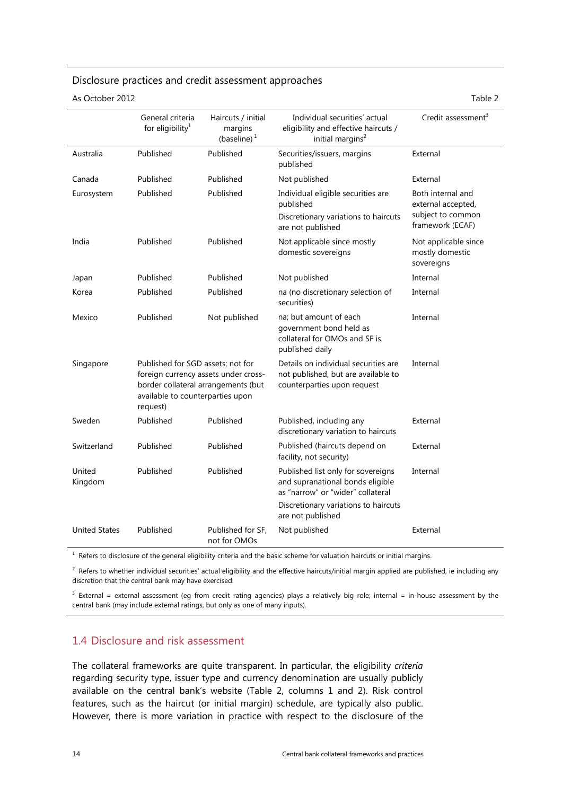# <span id="page-19-0"></span>Disclosure practices and credit assessment approaches

As October 2012 **Table 2** and the contract of the contract of the contract of the contract of the contract of the contract of the contract of the contract of the contract of the contract of the contract of the contract of

|                      | General criteria<br>for eligibility <sup>1</sup>                                  | Haircuts / initial<br>margins<br>(baseline) $1$                             | Individual securities' actual<br>eligibility and effective haircuts /<br>initial margins <sup>2</sup>                                               | Credit assessment <sup>3</sup>                                                   |
|----------------------|-----------------------------------------------------------------------------------|-----------------------------------------------------------------------------|-----------------------------------------------------------------------------------------------------------------------------------------------------|----------------------------------------------------------------------------------|
| Australia            | Published                                                                         | Published                                                                   | Securities/issuers, margins<br>published                                                                                                            | External                                                                         |
| Canada               | Published                                                                         | Published                                                                   | Not published                                                                                                                                       | External                                                                         |
| Eurosystem           | Published                                                                         | Published                                                                   | Individual eligible securities are<br>published<br>Discretionary variations to haircuts<br>are not published                                        | Both internal and<br>external accepted,<br>subject to common<br>framework (ECAF) |
| India                | Published                                                                         | Published                                                                   | Not applicable since mostly<br>domestic sovereigns                                                                                                  | Not applicable since<br>mostly domestic<br>sovereigns                            |
| Japan                | Published                                                                         | Published                                                                   | Not published                                                                                                                                       | Internal                                                                         |
| Korea                | Published                                                                         | Published                                                                   | na (no discretionary selection of<br>securities)                                                                                                    | Internal                                                                         |
| Mexico               | Published                                                                         | Not published                                                               | na; but amount of each<br>government bond held as<br>collateral for OMOs and SF is<br>published daily                                               | Internal                                                                         |
| Singapore            | Published for SGD assets; not for<br>available to counterparties upon<br>request) | foreign currency assets under cross-<br>border collateral arrangements (but | Details on individual securities are<br>not published, but are available to<br>counterparties upon request                                          | Internal                                                                         |
| Sweden               | Published                                                                         | Published                                                                   | Published, including any<br>discretionary variation to haircuts                                                                                     | External                                                                         |
| Switzerland          | Published                                                                         | Published                                                                   | Published (haircuts depend on<br>facility, not security)                                                                                            | External                                                                         |
| United<br>Kingdom    | Published                                                                         | Published                                                                   | Published list only for sovereigns<br>and supranational bonds eligible<br>as "narrow" or "wider" collateral<br>Discretionary variations to haircuts | Internal                                                                         |
|                      |                                                                                   |                                                                             | are not published                                                                                                                                   |                                                                                  |
| <b>United States</b> | Published                                                                         | Published for SF,<br>not for OMOs                                           | Not published                                                                                                                                       | External                                                                         |

 $1$  Refers to disclosure of the general eligibility criteria and the basic scheme for valuation haircuts or initial margins.

 $^2$  Refers to whether individual securities' actual eligibility and the effective haircuts/initial margin applied are published, ie including any discretion that the central bank may have exercised.

 $3$  External = external assessment (eg from credit rating agencies) plays a relatively big role; internal = in-house assessment by the central bank (may include external ratings, but only as one of many inputs).

# 1.4 Disclosure and risk assessment

The collateral frameworks are quite transparent. In particular, the eligibility *criteria* regarding security type, issuer type and currency denomination are usually publicly available on the central bank's website (Table 2, columns 1 and 2). Risk control features, such as the haircut (or initial margin) schedule, are typically also public. However, there is more variation in practice with respect to the disclosure of the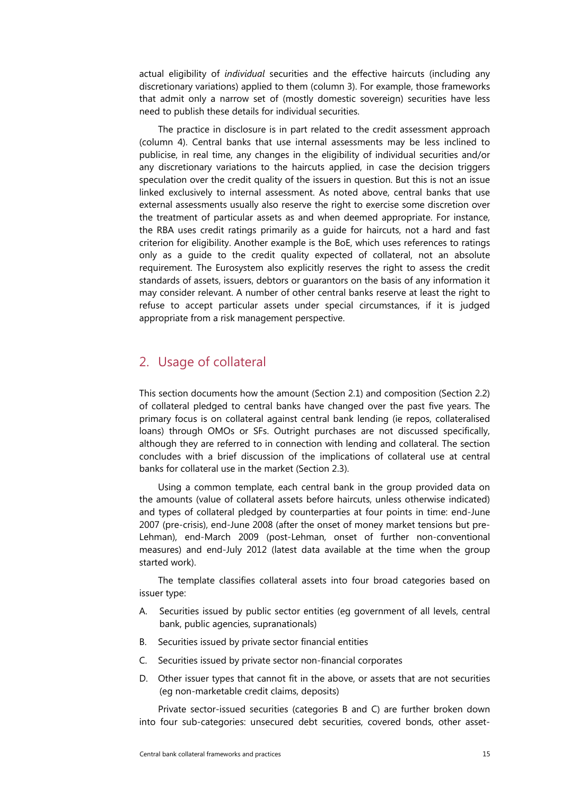<span id="page-20-0"></span>actual eligibility of *individual* securities and the effective haircuts (including any discretionary variations) applied to them (column 3). For example, those frameworks that admit only a narrow set of (mostly domestic sovereign) securities have less need to publish these details for individual securities.

The practice in disclosure is in part related to the credit assessment approach (column 4). Central banks that use internal assessments may be less inclined to publicise, in real time, any changes in the eligibility of individual securities and/or any discretionary variations to the haircuts applied, in case the decision triggers speculation over the credit quality of the issuers in question. But this is not an issue linked exclusively to internal assessment. As noted above, central banks that use external assessments usually also reserve the right to exercise some discretion over the treatment of particular assets as and when deemed appropriate. For instance, the RBA uses credit ratings primarily as a guide for haircuts, not a hard and fast criterion for eligibility. Another example is the BoE, which uses references to ratings only as a guide to the credit quality expected of collateral, not an absolute requirement. The Eurosystem also explicitly reserves the right to assess the credit standards of assets, issuers, debtors or guarantors on the basis of any information it may consider relevant. A number of other central banks reserve at least the right to refuse to accept particular assets under special circumstances, if it is judged appropriate from a risk management perspective.

# 2. Usage of collateral

This section documents how the amount (Section 2.1) and composition (Section 2.2) of collateral pledged to central banks have changed over the past five years. The primary focus is on collateral against central bank lending (ie repos, collateralised loans) through OMOs or SFs. Outright purchases are not discussed specifically, although they are referred to in connection with lending and collateral. The section concludes with a brief discussion of the implications of collateral use at central banks for collateral use in the market (Section 2.3).

Using a common template, each central bank in the group provided data on the amounts (value of collateral assets before haircuts, unless otherwise indicated) and types of collateral pledged by counterparties at four points in time: end-June 2007 (pre-crisis), end-June 2008 (after the onset of money market tensions but pre-Lehman), end-March 2009 (post-Lehman, onset of further non-conventional measures) and end-July 2012 (latest data available at the time when the group started work).

The template classifies collateral assets into four broad categories based on issuer type:

- A. Securities issued by public sector entities (eg government of all levels, central bank, public agencies, supranationals)
- B. Securities issued by private sector financial entities
- C. Securities issued by private sector non-financial corporates
- D. Other issuer types that cannot fit in the above, or assets that are not securities (eg non-marketable credit claims, deposits)

Private sector-issued securities (categories B and C) are further broken down into four sub-categories: unsecured debt securities, covered bonds, other asset-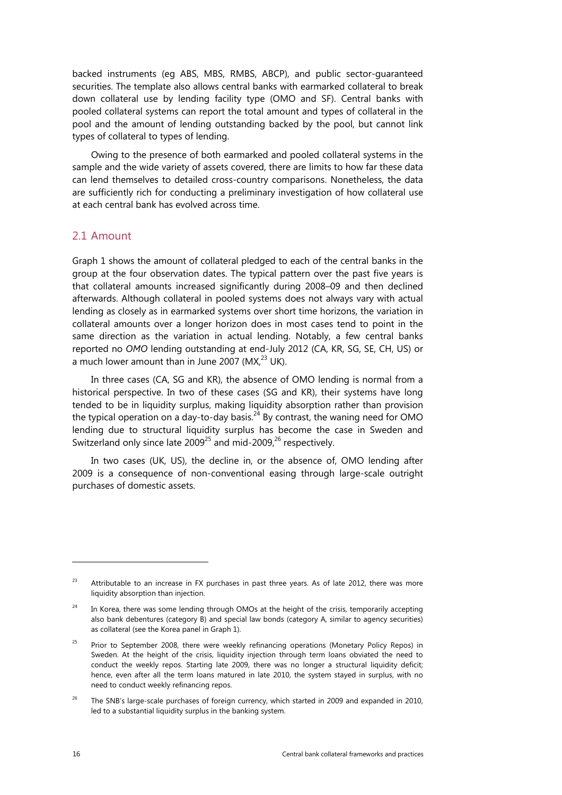<span id="page-21-0"></span>backed instruments (eg ABS, MBS, RMBS, ABCP), and public sector-guaranteed securities. The template also allows central banks with earmarked collateral to break down collateral use by lending facility type (OMO and SF). Central banks with pooled collateral systems can report the total amount and types of collateral in the pool and the amount of lending outstanding backed by the pool, but cannot link types of collateral to types of lending.

Owing to the presence of both earmarked and pooled collateral systems in the sample and the wide variety of assets covered, there are limits to how far these data can lend themselves to detailed cross-country comparisons. Nonetheless, the data are sufficiently rich for conducting a preliminary investigation of how collateral use at each central bank has evolved across time.

## 2.1 Amount

Graph 1 shows the amount of collateral pledged to each of the central banks in the group at the four observation dates. The typical pattern over the past five years is that collateral amounts increased significantly during 2008–09 and then declined afterwards. Although collateral in pooled systems does not always vary with actual lending as closely as in earmarked systems over short time horizons, the variation in collateral amounts over a longer horizon does in most cases tend to point in the same direction as the variation in actual lending. Notably, a few central banks reported no *OMO* lending outstanding at end-July 2012 (CA, KR, SG, SE, CH, US) or a much lower amount than in June 2007 (MX $^{23}$  UK).

In three cases (CA, SG and KR), the absence of OMO lending is normal from a historical perspective. In two of these cases (SG and KR), their systems have long tended to be in liquidity surplus, making liquidity absorption rather than provision the typical operation on a day-to-day basis.<sup>24</sup> By contrast, the waning need for OMO lending due to structural liquidity surplus has become the case in Sweden and Switzerland only since late  $2009^{25}$  and mid-2009,<sup>26</sup> respectively.

In two cases (UK, US), the decline in, or the absence of, OMO lending after 2009 is a consequence of non-conventional easing through large-scale outright purchases of domestic assets.

 $23$  Attributable to an increase in FX purchases in past three years. As of late 2012, there was more liquidity absorption than injection.

 $24$  In Korea, there was some lending through OMOs at the height of the crisis, temporarily accepting also bank debentures (category B) and special law bonds (category A, similar to agency securities) as collateral (see the Korea panel in Graph 1).

 $25$  Prior to September 2008, there were weekly refinancing operations (Monetary Policy Repos) in Sweden. At the height of the crisis, liquidity injection through term loans obviated the need to conduct the weekly repos. Starting late 2009, there was no longer a structural liquidity deficit; hence, even after all the term loans matured in late 2010, the system stayed in surplus, with no need to conduct weekly refinancing repos.

<sup>&</sup>lt;sup>26</sup> The SNB's large-scale purchases of foreign currency, which started in 2009 and expanded in 2010, led to a substantial liquidity surplus in the banking system.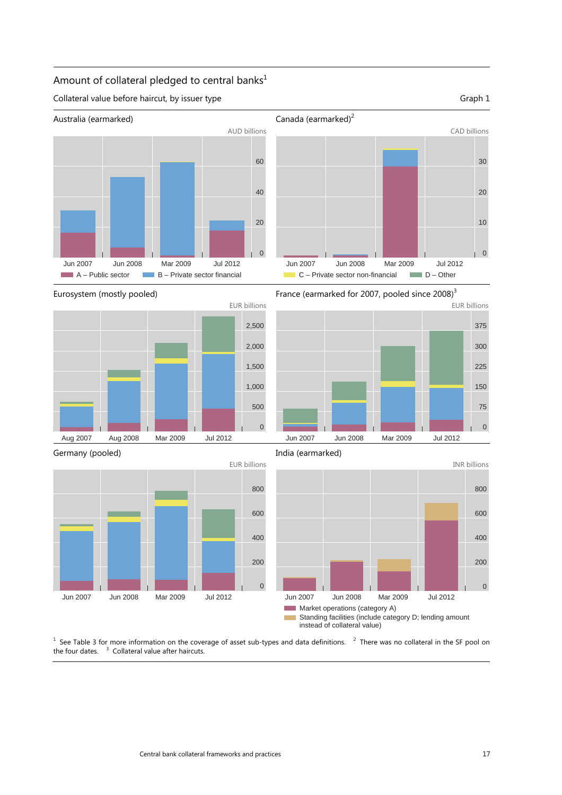# Amount of collateral pledged to central banks<sup>1</sup>

Collateral value before haircut, by issuer type Graph 1





Eurosystem (mostly pooled)





Jun 2007 Jun 2008 Mar 2009 Jul 2012  $C -$  Private sector non-financial  $D -$  Other

Germany (pooled)



India (earmarked)



 $1$  See Table 3 for more information on the coverage of asset sub-types and data definitions.  $2$  There was no collateral in the SF pool on the four dates.  $3$  Collateral value after haircuts.

 $\,$  0  $\,$ 

10

20

30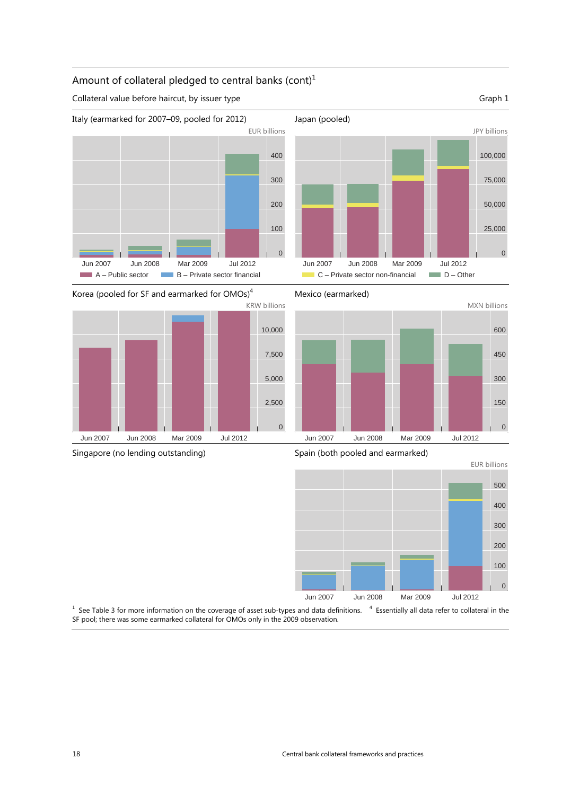# Amount of collateral pledged to central banks  $(cont)<sup>1</sup>$

Collateral value before haircut, by issuer type Graph 1



 $C$  – Private sector non-financial  $D -$  Other

Japan (pooled)











 $1$  See Table 3 for more information on the coverage of asset sub-types and data definitions.  $4$  Essentially all data refer to collateral in the SF pool; there was some earmarked collateral for OMOs only in the 2009 observation.

# Jun 2007 Jun 2008 Mar 2009 Jul 2012

JPY billions

0

25,000

50,000

75,000

100,000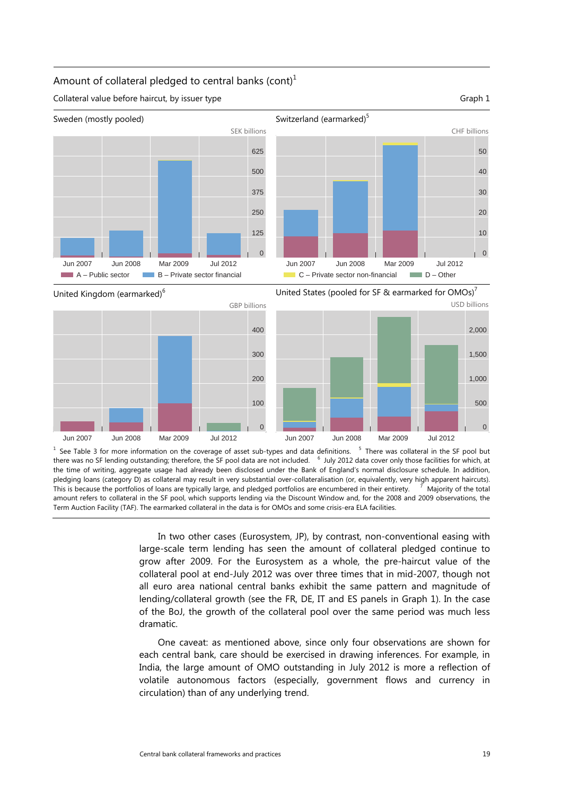#### Amount of collateral pledged to central banks  $(cont)<sup>1</sup>$

Sweden (mostly pooled) SEK billions 0 125 250 375 500 625 Jun 2007 Jun 2008 Mar 2009 Jul 2012  $A -$  Public sector  $B -$  Private sector financial



United Kingdom (earmarked)<sup>6</sup>



<sup>1</sup> See Table 3 for more information on the coverage of asset sub-types and data definitions. <sup>5</sup> There was collateral in the SF pool but there was no SF lending outstanding; therefore, the SF pool data are not included. <sup>6</sup> July 2012 data cover only those facilities for which, at the time of writing, aggregate usage had already been disclosed under the Bank of England's normal disclosure schedule. In addition, pledging loans (category D) as collateral may result in very substantial over-collateralisation (or, equivalently, very high apparent haircuts). This is because the portfolios of loans are typically large, and pledged portfolios are encumbered in their entirety. <sup>7</sup> Majority of the total amount refers to collateral in the SF pool, which supports lending via the Discount Window and, for the 2008 and 2009 observations, the Term Auction Facility (TAF). The earmarked collateral in the data is for OMOs and some crisis-era ELA facilities.

In two other cases (Eurosystem, JP), by contrast, non-conventional easing with large-scale term lending has seen the amount of collateral pledged continue to grow after 2009. For the Eurosystem as a whole, the pre-haircut value of the collateral pool at end-July 2012 was over three times that in mid-2007, though not all euro area national central banks exhibit the same pattern and magnitude of lending/collateral growth (see the FR, DE, IT and ES panels in Graph 1). In the case of the BoJ, the growth of the collateral pool over the same period was much less dramatic.

One caveat: as mentioned above, since only four observations are shown for each central bank, care should be exercised in drawing inferences. For example, in India, the large amount of OMO outstanding in July 2012 is more a reflection of volatile autonomous factors (especially, government flows and currency in circulation) than of any underlying trend.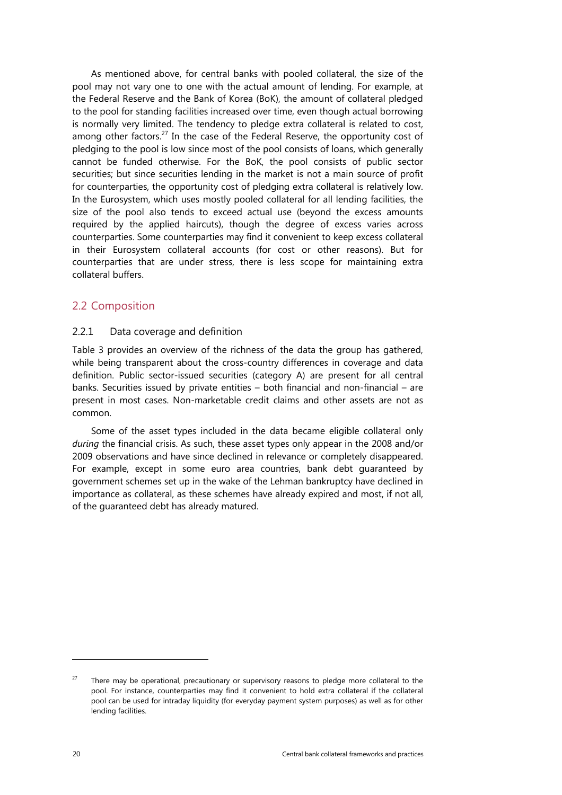<span id="page-25-0"></span>As mentioned above, for central banks with pooled collateral, the size of the pool may not vary one to one with the actual amount of lending. For example, at the Federal Reserve and the Bank of Korea (BoK), the amount of collateral pledged to the pool for standing facilities increased over time, even though actual borrowing is normally very limited. The tendency to pledge extra collateral is related to cost, among other factors.<sup>27</sup> In the case of the Federal Reserve, the opportunity cost of pledging to the pool is low since most of the pool consists of loans, which generally cannot be funded otherwise. For the BoK, the pool consists of public sector securities; but since securities lending in the market is not a main source of profit for counterparties, the opportunity cost of pledging extra collateral is relatively low. In the Eurosystem, which uses mostly pooled collateral for all lending facilities, the size of the pool also tends to exceed actual use (beyond the excess amounts required by the applied haircuts), though the degree of excess varies across counterparties. Some counterparties may find it convenient to keep excess collateral in their Eurosystem collateral accounts (for cost or other reasons). But for counterparties that are under stress, there is less scope for maintaining extra collateral buffers.

# 2.2 Composition

#### 2.2.1 Data coverage and definition

Table 3 provides an overview of the richness of the data the group has gathered, while being transparent about the cross-country differences in coverage and data definition. Public sector-issued securities (category A) are present for all central banks. Securities issued by private entities – both financial and non-financial – are present in most cases. Non-marketable credit claims and other assets are not as common.

Some of the asset types included in the data became eligible collateral only *during* the financial crisis. As such, these asset types only appear in the 2008 and/or 2009 observations and have since declined in relevance or completely disappeared. For example, except in some euro area countries, bank debt guaranteed by government schemes set up in the wake of the Lehman bankruptcy have declined in importance as collateral, as these schemes have already expired and most, if not all, of the guaranteed debt has already matured.

<sup>&</sup>lt;sup>27</sup> There may be operational, precautionary or supervisory reasons to pledge more collateral to the pool. For instance, counterparties may find it convenient to hold extra collateral if the collateral pool can be used for intraday liquidity (for everyday payment system purposes) as well as for other lending facilities.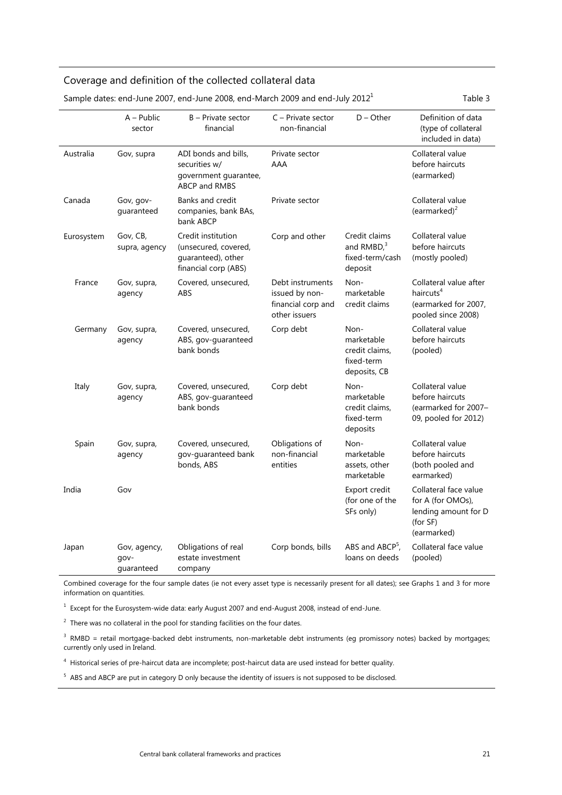# Coverage and definition of the collected collateral data

| Sample dates: end-June 2007, end-June 2008, end-March 2009 and end-July 2012 |                                    |                                                                                          |                                                                           |                                                                    | Table 3                                                                                       |
|------------------------------------------------------------------------------|------------------------------------|------------------------------------------------------------------------------------------|---------------------------------------------------------------------------|--------------------------------------------------------------------|-----------------------------------------------------------------------------------------------|
|                                                                              | $A - Public$<br>sector             | B - Private sector<br>financial                                                          | $C -$ Private sector<br>non-financial                                     | $D - Other$                                                        | Definition of data<br>(type of collateral<br>included in data)                                |
| Australia                                                                    | Gov, supra                         | ADI bonds and bills,<br>securities w/<br>government guarantee,<br><b>ABCP and RMBS</b>   | Private sector<br>AAA                                                     |                                                                    | Collateral value<br>before haircuts<br>(earmarked)                                            |
| Canada                                                                       | Gov, gov-<br>guaranteed            | Banks and credit<br>companies, bank BAs,<br>bank ABCP                                    | Private sector                                                            |                                                                    | Collateral value<br>(earmarked) <sup>2</sup>                                                  |
| Eurosystem                                                                   | Gov, CB,<br>supra, agency          | Credit institution<br>(unsecured, covered,<br>guaranteed), other<br>financial corp (ABS) | Corp and other                                                            | Credit claims<br>and $RMBD3$<br>fixed-term/cash<br>deposit         | Collateral value<br>before haircuts<br>(mostly pooled)                                        |
| France                                                                       | Gov, supra,<br>agency              | Covered, unsecured,<br>ABS                                                               | Debt instruments<br>issued by non-<br>financial corp and<br>other issuers | Non-<br>marketable<br>credit claims                                | Collateral value after<br>haircuts <sup>4</sup><br>(earmarked for 2007,<br>pooled since 2008) |
| Germany                                                                      | Gov, supra,<br>agency              | Covered, unsecured,<br>ABS, gov-guaranteed<br>bank bonds                                 | Corp debt                                                                 | Non-<br>marketable<br>credit claims,<br>fixed-term<br>deposits, CB | Collateral value<br>before haircuts<br>(pooled)                                               |
| Italy                                                                        | Gov, supra,<br>agency              | Covered, unsecured,<br>ABS, gov-guaranteed<br>bank bonds                                 | Corp debt                                                                 | Non-<br>marketable<br>credit claims,<br>fixed-term<br>deposits     | Collateral value<br>before haircuts<br>(earmarked for 2007-<br>09, pooled for 2012)           |
| Spain                                                                        | Gov, supra,<br>agency              | Covered, unsecured,<br>gov-guaranteed bank<br>bonds, ABS                                 | Obligations of<br>non-financial<br>entities                               | Non-<br>marketable<br>assets, other<br>marketable                  | Collateral value<br>before haircuts<br>(both pooled and<br>earmarked)                         |
| India                                                                        | Gov                                |                                                                                          |                                                                           | Export credit<br>(for one of the<br>SFs only)                      | Collateral face value<br>for A (for OMOs),<br>lending amount for D<br>(for SF)<br>(earmarked) |
| Japan                                                                        | Gov, agency,<br>qov-<br>quaranteed | Obligations of real<br>estate investment<br>company                                      | Corp bonds, bills                                                         | ABS and ABCP <sup>5</sup> ,<br>loans on deeds                      | Collateral face value<br>(pooled)                                                             |

 $S<sub>3</sub>$  Sample dates: end-June 2009, end-March 2009 and end-July 2012<sup>1</sup> Table 3

Combined coverage for the four sample dates (ie not every asset type is necessarily present for all dates); see Graphs 1 and 3 for more information on quantities.

<sup>1</sup> Except for the Eurosystem-wide data: early August 2007 and end-August 2008, instead of end-June.

 $2$  There was no collateral in the pool for standing facilities on the four dates.

<sup>3</sup> RMBD = retail mortgage-backed debt instruments, non-marketable debt instruments (eg promissory notes) backed by mortgages; currently only used in Ireland.

<sup>4</sup> Historical series of pre-haircut data are incomplete; post-haircut data are used instead for better quality.

<sup>5</sup> ABS and ABCP are put in category D only because the identity of issuers is not supposed to be disclosed.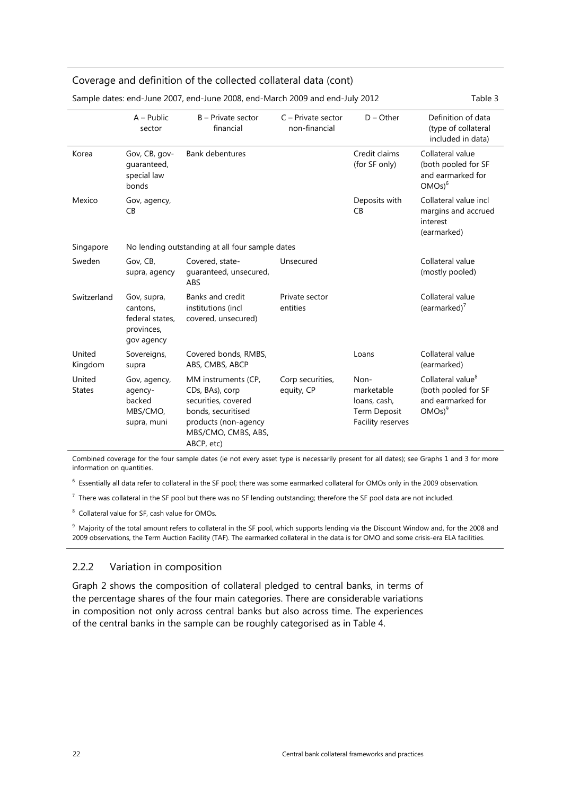## <span id="page-27-0"></span>Coverage and definition of the collected collateral data (cont)

| Sample dates: end-June 2007, end-June 2008, end-March 2009 and end-July 2012<br>Table 3 |                                                                        |                                                                                                                                                  |                                     |                                                                         |                                                                                        |
|-----------------------------------------------------------------------------------------|------------------------------------------------------------------------|--------------------------------------------------------------------------------------------------------------------------------------------------|-------------------------------------|-------------------------------------------------------------------------|----------------------------------------------------------------------------------------|
|                                                                                         | $A - Public$<br>sector                                                 | B - Private sector<br>financial                                                                                                                  | C - Private sector<br>non-financial | $D - Other$                                                             | Definition of data<br>(type of collateral<br>included in data)                         |
| Korea                                                                                   | Gov, CB, gov-<br>quaranteed,<br>special law<br>bonds                   | <b>Bank debentures</b>                                                                                                                           |                                     | Credit claims<br>(for SF only)                                          | Collateral value<br>(both pooled for SF<br>and earmarked for<br>$OMOs)^6$              |
| Mexico                                                                                  | Gov, agency,<br>CB                                                     |                                                                                                                                                  |                                     | Deposits with<br><b>CB</b>                                              | Collateral value incl<br>margins and accrued<br>interest<br>(earmarked)                |
| Singapore                                                                               |                                                                        | No lending outstanding at all four sample dates                                                                                                  |                                     |                                                                         |                                                                                        |
| Sweden                                                                                  | Gov, CB,<br>supra, agency                                              | Covered, state-<br>guaranteed, unsecured,<br>ABS                                                                                                 | Unsecured                           |                                                                         | Collateral value<br>(mostly pooled)                                                    |
| Switzerland                                                                             | Gov, supra,<br>cantons.<br>federal states,<br>provinces,<br>gov agency | Banks and credit<br>institutions (incl<br>covered, unsecured)                                                                                    | Private sector<br>entities          |                                                                         | Collateral value<br>(earmarked) $7$                                                    |
| United<br>Kingdom                                                                       | Sovereigns,<br>supra                                                   | Covered bonds, RMBS,<br>ABS, CMBS, ABCP                                                                                                          |                                     | Loans                                                                   | Collateral value<br>(earmarked)                                                        |
| United<br><b>States</b>                                                                 | Gov, agency,<br>agency-<br>backed<br>MBS/CMO,<br>supra, muni           | MM instruments (CP,<br>CDs, BAs), corp<br>securities, covered<br>bonds, securitised<br>products (non-agency<br>MBS/CMO, CMBS, ABS,<br>ABCP, etc) | Corp securities,<br>equity, CP      | Non-<br>marketable<br>loans, cash,<br>Term Deposit<br>Facility reserves | Collateral value <sup>8</sup><br>(both pooled for SF<br>and earmarked for<br>$OMOS)^9$ |

Sample dates: end-June 2007, end-June 2008, end-March 2009 and end-July 2012 Table 3

Combined coverage for the four sample dates (ie not every asset type is necessarily present for all dates); see Graphs 1 and 3 for more information on quantities.

<sup>6</sup> Essentially all data refer to collateral in the SF pool; there was some earmarked collateral for OMOs only in the 2009 observation.

 $^7$  There was collateral in the SF pool but there was no SF lending outstanding; therefore the SF pool data are not included.

<sup>8</sup> Collateral value for SF, cash value for OMOs.

<sup>9</sup> Majority of the total amount refers to collateral in the SF pool, which supports lending via the Discount Window and, for the 2008 and 2009 observations, the Term Auction Facility (TAF). The earmarked collateral in the data is for OMO and some crisis-era ELA facilities.

#### 2.2.2 Variation in composition

Graph 2 shows the composition of collateral pledged to central banks, in terms of the percentage shares of the four main categories. There are considerable variations in composition not only across central banks but also across time. The experiences of the central banks in the sample can be roughly categorised as in Table 4.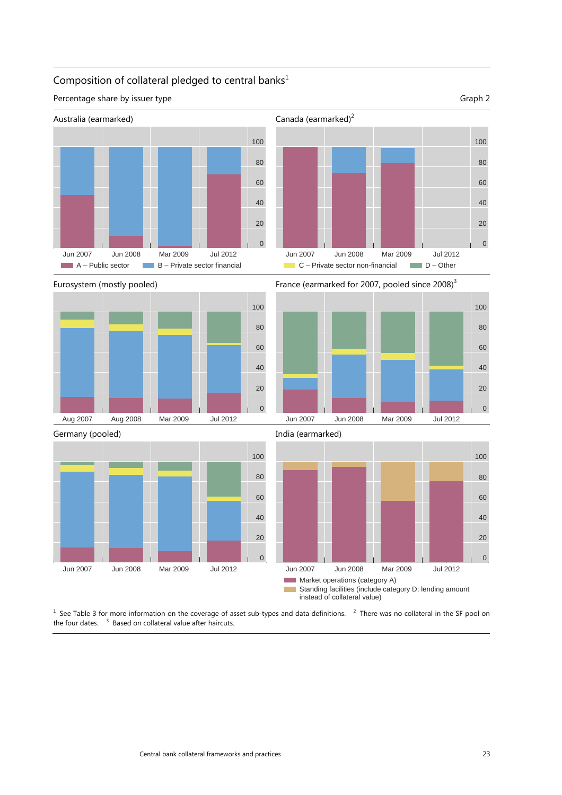# Composition of collateral pledged to central banks<sup>1</sup>

Percentage share by issuer type Graph 2







Eurosystem (mostly pooled) France (earmarked for 2007, pooled since 2008)<sup>3</sup>









 See Table 3 for more information on the coverage of asset sub-types and data definitions.  $2$  There was no collateral in the SF pool on the four dates.  $3$  Based on collateral value after haircuts.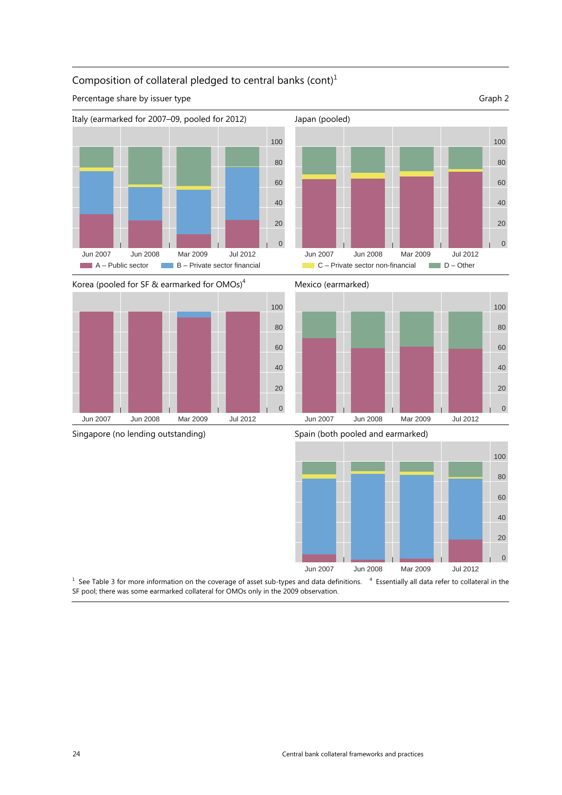

# Composition of collateral pledged to central banks  $\text{(cont)}^1$

Percentage share by issuer type Graph 2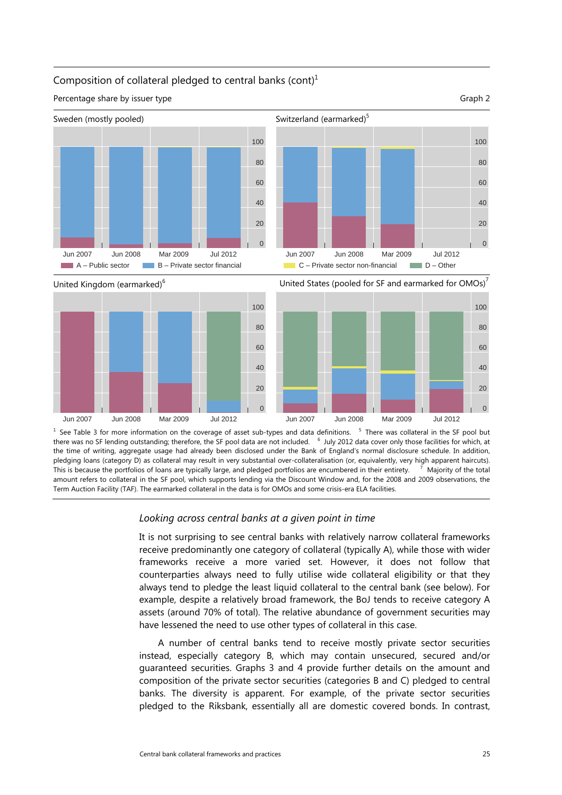## Composition of collateral pledged to central banks (cont) $1$

Percentage share by issuer type Graph 2





United Kingdom (earmarked)6 United States (pooled for SF and earmarked for OMOs)<sup>7</sup>  $\Omega$ 20 40 60 80 100 Jun 2007 Jun 2008 Mar 2009 Jul 2012 0 20 40 60 80 100 Jun 2007 Jun 2008 Mar 2009 Jul 2012

<sup>1</sup> See Table 3 for more information on the coverage of asset sub-types and data definitions. <sup>5</sup> There was collateral in the SF pool but there was no SF lending outstanding; therefore, the SF pool data are not included. <sup>6</sup> July 2012 data cover only those facilities for which, at the time of writing, aggregate usage had already been disclosed under the Bank of England's normal disclosure schedule. In addition, pledging loans (category D) as collateral may result in very substantial over-collateralisation (or, equivalently, very high apparent haircuts). This is because the portfolios of loans are typically large, and pledged portfolios are encumbered in their entirety. <sup>7</sup>  $\frac{7}{7}$  Majority of the total amount refers to collateral in the SF pool, which supports lending via the Discount Window and, for the 2008 and 2009 observations, the Term Auction Facility (TAF). The earmarked collateral in the data is for OMOs and some crisis-era ELA facilities.

#### *Looking across central banks at a given point in time*

It is not surprising to see central banks with relatively narrow collateral frameworks receive predominantly one category of collateral (typically A), while those with wider frameworks receive a more varied set. However, it does not follow that counterparties always need to fully utilise wide collateral eligibility or that they always tend to pledge the least liquid collateral to the central bank (see below). For example, despite a relatively broad framework, the BoJ tends to receive category A assets (around 70% of total). The relative abundance of government securities may have lessened the need to use other types of collateral in this case.

A number of central banks tend to receive mostly private sector securities instead, especially category B, which may contain unsecured, secured and/or guaranteed securities. Graphs 3 and 4 provide further details on the amount and composition of the private sector securities (categories B and C) pledged to central banks. The diversity is apparent. For example, of the private sector securities pledged to the Riksbank, essentially all are domestic covered bonds. In contrast,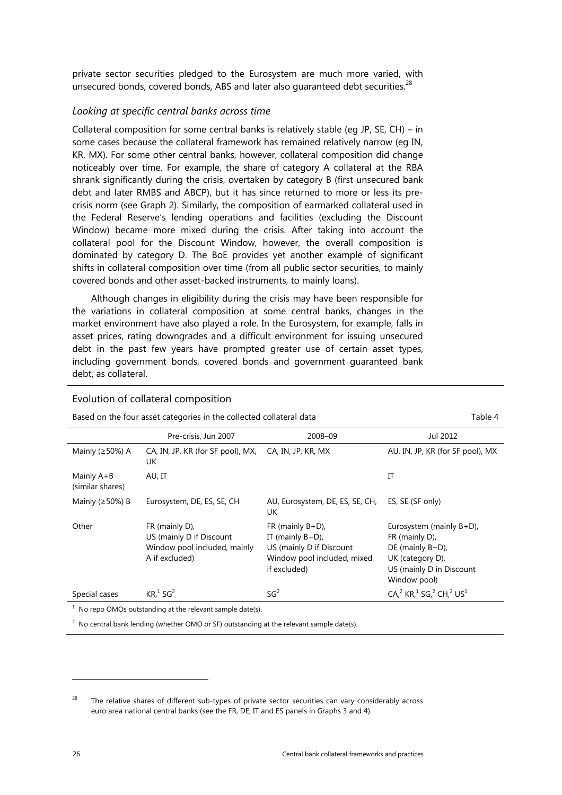private sector securities pledged to the Eurosystem are much more varied, with unsecured bonds, covered bonds, ABS and later also guaranteed debt securities.<sup>28</sup>

#### *Looking at specific central banks across time*

Collateral composition for some central banks is relatively stable (eg JP, SE, CH) – in some cases because the collateral framework has remained relatively narrow (eg IN, KR, MX). For some other central banks, however, collateral composition did change noticeably over time. For example, the share of category A collateral at the RBA shrank significantly during the crisis, overtaken by category B (first unsecured bank debt and later RMBS and ABCP), but it has since returned to more or less its precrisis norm (see Graph 2). Similarly, the composition of earmarked collateral used in the Federal Reserve's lending operations and facilities (excluding the Discount Window) became more mixed during the crisis. After taking into account the collateral pool for the Discount Window, however, the overall composition is dominated by category D. The BoE provides yet another example of significant shifts in collateral composition over time (from all public sector securities, to mainly covered bonds and other asset-backed instruments, to mainly loans).

Although changes in eligibility during the crisis may have been responsible for the variations in collateral composition at some central banks, changes in the market environment have also played a role. In the Eurosystem, for example, falls in asset prices, rating downgrades and a difficult environment for issuing unsecured debt in the past few years have prompted greater use of certain asset types, including government bonds, covered bonds and government guaranteed bank debt, as collateral.

#### Evolution of collateral composition

Based on the four asset categories in the collected collateral data Table 4

Pre-crisis, Jun 2007 2008–09 Jul 2012 Mainly ( $\geq$ 50%) A CA, IN, JP, KR (for SF pool), MX, UK CA, IN, JP, KR, MX AU, IN, JP, KR (for SF pool), MX Mainly A+B (similar shares) AU, IT THE INSTITUTION OF THE IT IT IT IS A REPORT OF THE IT IT IS A REPORT OF THE IT IS A REPORT OF THE IT IS Mainly (≥50%) B Eurosystem, DE, ES, SE, CH AU, Eurosystem, DE, ES, SE, CH, UK ES, SE (SF only) Other FR (mainly D), US (mainly D if Discount Window pool included, mainly A if excluded) FR (mainly B+D), IT (mainly B+D), US (mainly D if Discount Window pool included, mixed if excluded) Eurosystem (mainly B+D), FR (mainly D), DE (mainly B+D), UK (category D), US (mainly D in Discount Window pool) Special cases  $KR<sup>1</sup>SG<sup>2</sup>$  $SG<sup>2</sup>$  $CA<sup>2</sup><sub>1</sub> KR<sup>1</sup><sub>2</sub> SG<sup>2</sup> CH<sup>2</sup><sub>1</sub> US<sup>1</sup>$ 

 $1$  No repo OMOs outstanding at the relevant sample date(s).

 $2$  No central bank lending (whether OMO or SF) outstanding at the relevant sample date(s).

<sup>&</sup>lt;sup>28</sup> The relative shares of different sub-types of private sector securities can vary considerably across euro area national central banks (see the FR, DE, IT and ES panels in Graphs 3 and 4).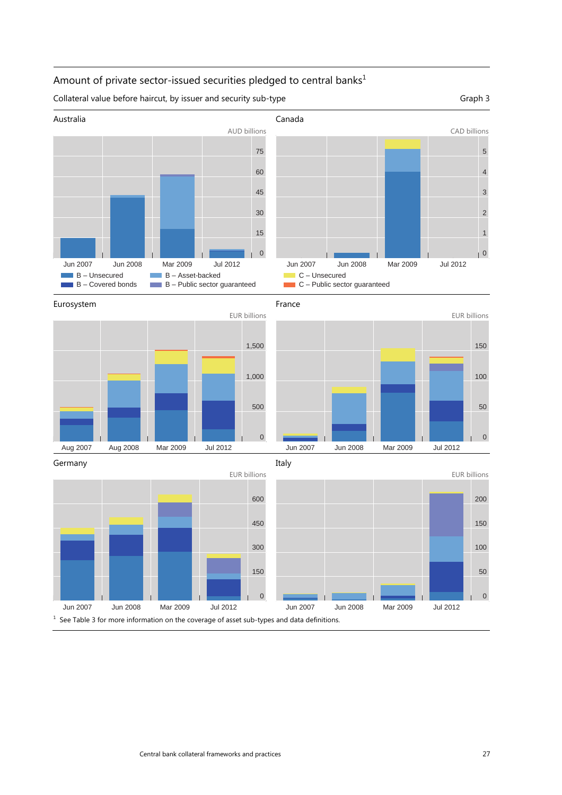# Amount of private sector-issued securities pledged to central banks $<sup>1</sup>$ </sup>

Collateral value before haircut, by issuer and security sub-type Graph 3



Italy





Germany



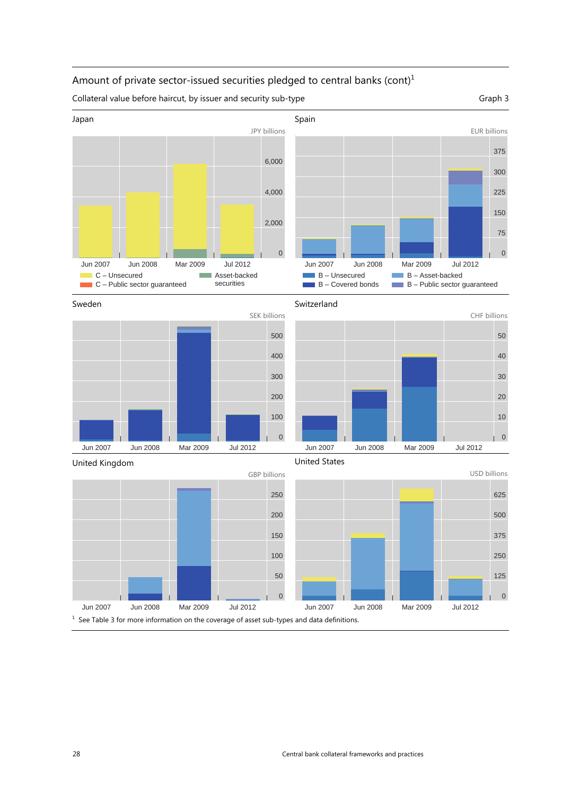# Amount of private sector-issued securities pledged to central banks (cont)<sup>1</sup>

Collateral value before haircut, by issuer and security sub-type Graph 3













United States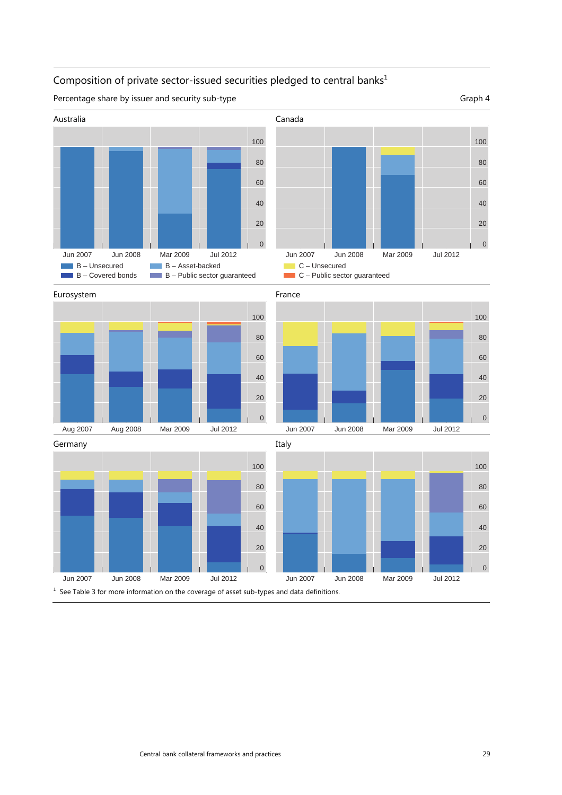# Composition of private sector-issued securities pledged to central banks $^1$

Percentage share by issuer and security sub-type Graph 4

Australia Canada Jun 2007 Jun 2008 Mar 2009 Jul 2012 **B** – Unsecured B – Asset-backed г П  $\blacksquare$  B – Covered bonds  $B -$  Public sector guaranteed





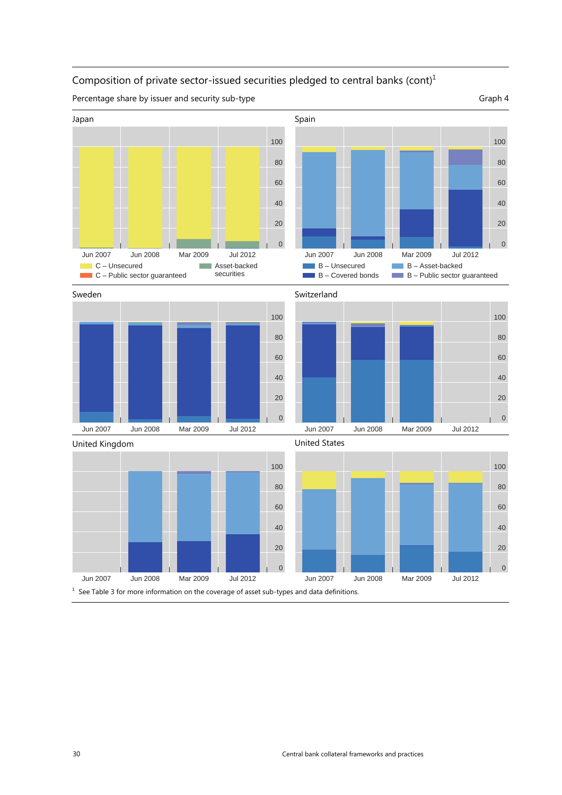# Composition of private sector-issued securities pledged to central banks (cont)

Percentage share by issuer and security sub-type Graph 4

Japan Spain Serbatu di Panah Serbatu Serbatu Serbatu Serbatu Serbatu Serbatu Serbatu Serbatu Serbatu Serbatu S 





30 Central bank collateral frameworks and practices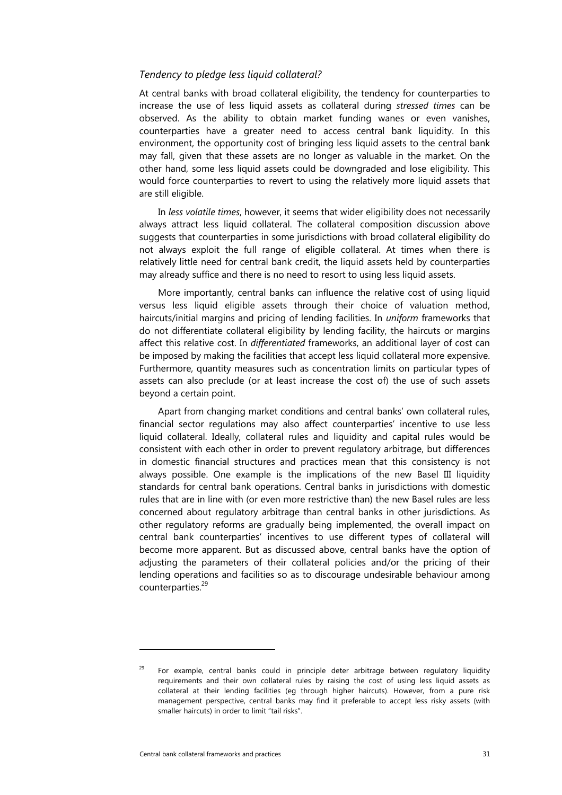#### *Tendency to pledge less liquid collateral?*

At central banks with broad collateral eligibility, the tendency for counterparties to increase the use of less liquid assets as collateral during *stressed times* can be observed. As the ability to obtain market funding wanes or even vanishes, counterparties have a greater need to access central bank liquidity. In this environment, the opportunity cost of bringing less liquid assets to the central bank may fall, given that these assets are no longer as valuable in the market. On the other hand, some less liquid assets could be downgraded and lose eligibility. This would force counterparties to revert to using the relatively more liquid assets that are still eligible.

In *less volatile times*, however, it seems that wider eligibility does not necessarily always attract less liquid collateral. The collateral composition discussion above suggests that counterparties in some jurisdictions with broad collateral eligibility do not always exploit the full range of eligible collateral. At times when there is relatively little need for central bank credit, the liquid assets held by counterparties may already suffice and there is no need to resort to using less liquid assets.

More importantly, central banks can influence the relative cost of using liquid versus less liquid eligible assets through their choice of valuation method, haircuts/initial margins and pricing of lending facilities. In *uniform* frameworks that do not differentiate collateral eligibility by lending facility, the haircuts or margins affect this relative cost. In *differentiated* frameworks, an additional layer of cost can be imposed by making the facilities that accept less liquid collateral more expensive. Furthermore, quantity measures such as concentration limits on particular types of assets can also preclude (or at least increase the cost of) the use of such assets beyond a certain point.

Apart from changing market conditions and central banks' own collateral rules, financial sector regulations may also affect counterparties' incentive to use less liquid collateral. Ideally, collateral rules and liquidity and capital rules would be consistent with each other in order to prevent regulatory arbitrage, but differences in domestic financial structures and practices mean that this consistency is not always possible. One example is the implications of the new Basel III liquidity standards for central bank operations. Central banks in jurisdictions with domestic rules that are in line with (or even more restrictive than) the new Basel rules are less concerned about regulatory arbitrage than central banks in other jurisdictions. As other regulatory reforms are gradually being implemented, the overall impact on central bank counterparties' incentives to use different types of collateral will become more apparent. But as discussed above, central banks have the option of adjusting the parameters of their collateral policies and/or the pricing of their lending operations and facilities so as to discourage undesirable behaviour among counterparties.<sup>29</sup>

<sup>29</sup> For example, central banks could in principle deter arbitrage between regulatory liquidity requirements and their own collateral rules by raising the cost of using less liquid assets as collateral at their lending facilities (eg through higher haircuts). However, from a pure risk management perspective, central banks may find it preferable to accept less risky assets (with smaller haircuts) in order to limit "tail risks".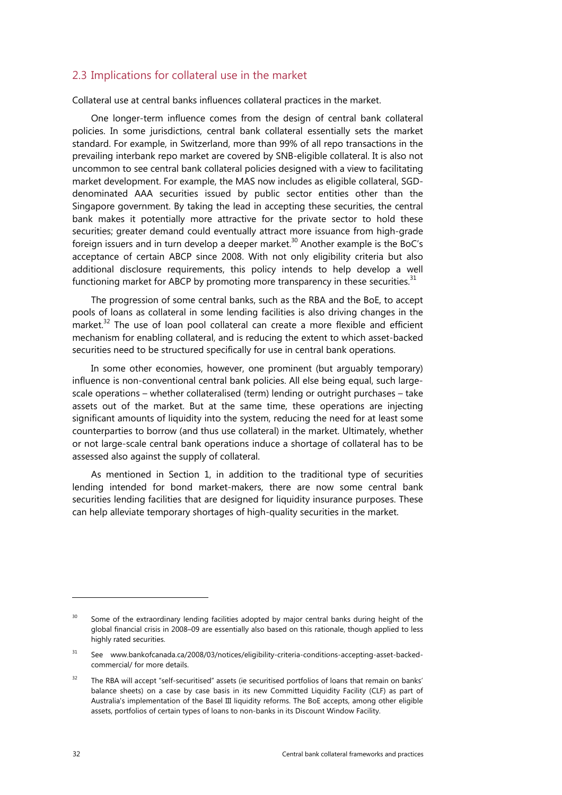# <span id="page-37-0"></span>2.3 Implications for collateral use in the market

Collateral use at central banks influences collateral practices in the market.

One longer-term influence comes from the design of central bank collateral policies. In some jurisdictions, central bank collateral essentially sets the market standard. For example, in Switzerland, more than 99% of all repo transactions in the prevailing interbank repo market are covered by SNB-eligible collateral. It is also not uncommon to see central bank collateral policies designed with a view to facilitating market development. For example, the MAS now includes as eligible collateral, SGDdenominated AAA securities issued by public sector entities other than the Singapore government. By taking the lead in accepting these securities, the central bank makes it potentially more attractive for the private sector to hold these securities; greater demand could eventually attract more issuance from high-grade foreign issuers and in turn develop a deeper market.<sup>30</sup> Another example is the BoC's acceptance of certain ABCP since 2008. With not only eligibility criteria but also additional disclosure requirements, this policy intends to help develop a well functioning market for ABCP by promoting more transparency in these securities.<sup>31</sup>

The progression of some central banks, such as the RBA and the BoE, to accept pools of loans as collateral in some lending facilities is also driving changes in the market.<sup>32</sup> The use of loan pool collateral can create a more flexible and efficient mechanism for enabling collateral, and is reducing the extent to which asset-backed securities need to be structured specifically for use in central bank operations.

In some other economies, however, one prominent (but arguably temporary) influence is non-conventional central bank policies. All else being equal, such largescale operations – whether collateralised (term) lending or outright purchases – take assets out of the market. But at the same time, these operations are injecting significant amounts of liquidity into the system, reducing the need for at least some counterparties to borrow (and thus use collateral) in the market. Ultimately, whether or not large-scale central bank operations induce a shortage of collateral has to be assessed also against the supply of collateral.

As mentioned in Section 1, in addition to the traditional type of securities lending intended for bond market-makers, there are now some central bank securities lending facilities that are designed for liquidity insurance purposes. These can help alleviate temporary shortages of high-quality securities in the market.

<sup>&</sup>lt;sup>30</sup> Some of the extraordinary lending facilities adopted by major central banks during height of the global financial crisis in 2008–09 are essentially also based on this rationale, though applied to less highly rated securities.

<sup>&</sup>lt;sup>31</sup> See www.bankofcanada.ca/2008/03/notices/eligibility-criteria-conditions-accepting-asset-backedcommercial/ for more details.

<sup>&</sup>lt;sup>32</sup> The RBA will accept "self-securitised" assets (ie securitised portfolios of loans that remain on banks' balance sheets) on a case by case basis in its new Committed Liquidity Facility (CLF) as part of Australia's implementation of the Basel III liquidity reforms. The BoE accepts, among other eligible assets, portfolios of certain types of loans to non-banks in its Discount Window Facility.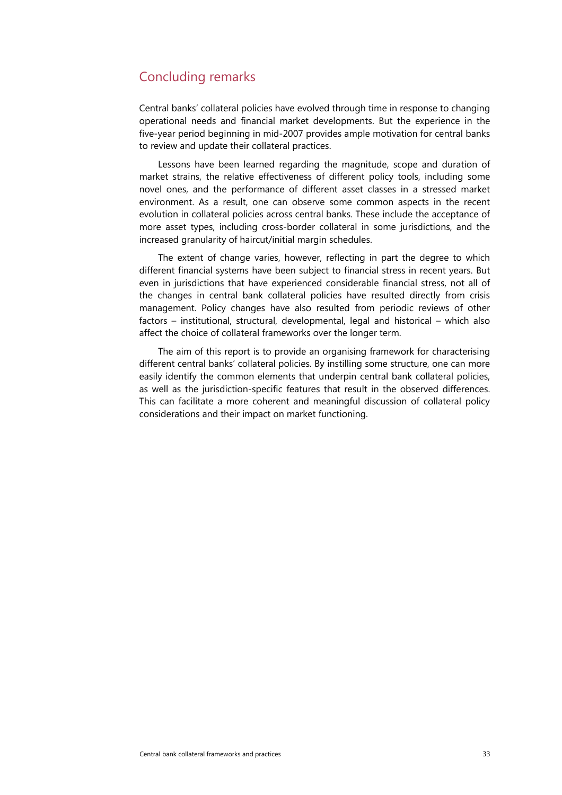# <span id="page-38-0"></span>Concluding remarks

Central banks' collateral policies have evolved through time in response to changing operational needs and financial market developments. But the experience in the five-year period beginning in mid-2007 provides ample motivation for central banks to review and update their collateral practices.

Lessons have been learned regarding the magnitude, scope and duration of market strains, the relative effectiveness of different policy tools, including some novel ones, and the performance of different asset classes in a stressed market environment. As a result, one can observe some common aspects in the recent evolution in collateral policies across central banks. These include the acceptance of more asset types, including cross-border collateral in some jurisdictions, and the increased granularity of haircut/initial margin schedules.

The extent of change varies, however, reflecting in part the degree to which different financial systems have been subject to financial stress in recent years. But even in jurisdictions that have experienced considerable financial stress, not all of the changes in central bank collateral policies have resulted directly from crisis management. Policy changes have also resulted from periodic reviews of other factors – institutional, structural, developmental, legal and historical – which also affect the choice of collateral frameworks over the longer term.

The aim of this report is to provide an organising framework for characterising different central banks' collateral policies. By instilling some structure, one can more easily identify the common elements that underpin central bank collateral policies, as well as the jurisdiction-specific features that result in the observed differences. This can facilitate a more coherent and meaningful discussion of collateral policy considerations and their impact on market functioning.